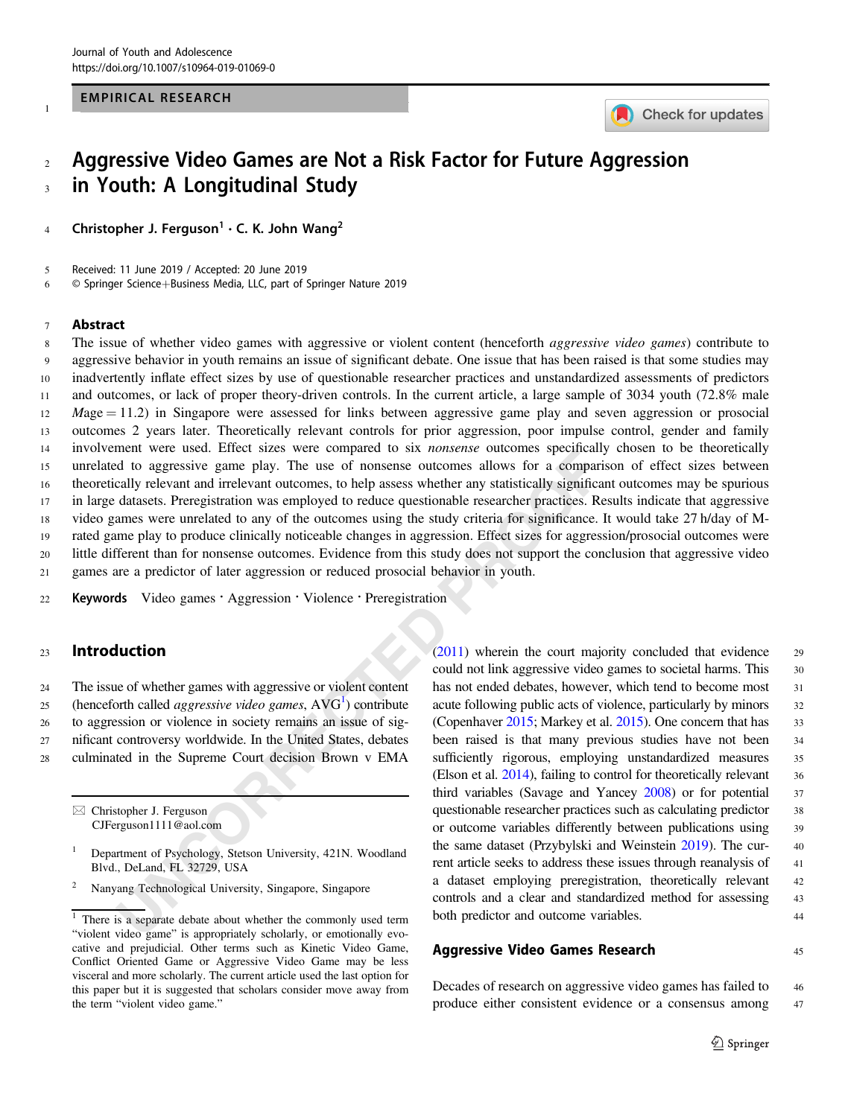## EMPIRICAL RESEARCH



## 2 Aggressive Video Games are Not a Risk Factor for Future Aggression <sup>3</sup> in Youth: A Longitudinal Study

4 Christopher J. Ferguson' • C. K. John Wang<sup>2</sup>

5 Received: 11 June 2019 / Accepted: 20 June 2019

6 © Springer Science+Business Media, LLC, part of Springer Nature 2019

#### <sup>7</sup> Abstract

1

The weather variables were considered to say *nonsea* buckware considerative and irrelevant outcomes, to help assess whether any statistically significated to agressive game play. The use of nonsense outcomes allows for a 8 The issue of whether video games with aggressive or violent content (henceforth *aggressive video games*) contribute to aggressive behavior in youth remains an issue of significant debate. One issue that has been raised is that some studies may inadvertently inflate effect sizes by use of questionable researcher practices and unstandardized assessments of predictors and outcomes, or lack of proper theory-driven controls. In the current article, a large sample of 3034 youth (72.8% male Mage  $= 11.2$ ) in Singapore were assessed for links between aggressive game play and seven aggression or prosocial outcomes 2 years later. Theoretically relevant controls for prior aggression, poor impulse control, gender and family involvement were used. Effect sizes were compared to six nonsense outcomes specifically chosen to be theoretically unrelated to aggressive game play. The use of nonsense outcomes allows for a comparison of effect sizes between theoretically relevant and irrelevant outcomes, to help assess whether any statistically significant outcomes may be spurious in large datasets. Preregistration was employed to reduce questionable researcher practices. Results indicate that aggressive video games were unrelated to any of the outcomes using the study criteria for significance. It would take 27 h/day of M- rated game play to produce clinically noticeable changes in aggression. Effect sizes for aggression/prosocial outcomes were little different than for nonsense outcomes. Evidence from this study does not support the conclusion that aggressive video games are a predictor of later aggression or reduced prosocial behavior in youth.

22 Keywords Video games · Aggression · Violence · Preregistration

## <sup>23</sup> Introduction

 The issue of whether games with aggressive or violent content 25 (henceforth called *aggressive video games*,  $AVG<sup>1</sup>$ ) contribute to aggression or violence in society remains an issue of sig- nificant controversy worldwide. In the United States, debates culminated in the Supreme Court decision Brown v EMA

 $\boxtimes$  Christopher J. Ferguson [CJFerguson1111@aol.com](mailto:CJFerguson1111@aol.com) (2011) wherein the court majority concluded that evidence <sup>29</sup> could not link aggressive video games to societal harms. This 30 has not ended debates, however, which tend to become most 31 acute following public acts of violence, particularly by minors 32 (Copenhaver [2015](#page-11-0); Markey et al. 2015). One concern that has 33 been raised is that many previous studies have not been <sup>34</sup> sufficiently rigorous, employing unstandardized measures 35 (Elson et al. 2014), failing to control for theoretically relevant 36 third variables (Savage and Yancey [2008\)](#page-12-0) or for potential 37 questionable researcher practices such as calculating predictor 38 or outcome variables differently between publications using <sup>39</sup> the same dataset (Przybylski and Weinstein [2019](#page-12-0)). The cur- <sup>40</sup> rent article seeks to address these issues through reanalysis of 41 a dataset employing preregistration, theoretically relevant <sup>42</sup> controls and a clear and standardized method for assessing 43 both predictor and outcome variables. 44

## Aggressive Video Games Research 45

Decades of research on aggressive video games has failed to 46 produce either consistent evidence or a consensus among <sup>47</sup>

<sup>1</sup> Department of Psychology, Stetson University, 421N. Woodland Blvd., DeLand, FL 32729, USA

<sup>2</sup> Nanyang Technological University, Singapore, Singapore

 $\frac{1}{1}$  There is a separate debate about whether the commonly used term "violent video game" is appropriately scholarly, or emotionally evocative and prejudicial. Other terms such as Kinetic Video Game, Conflict Oriented Game or Aggressive Video Game may be less visceral and more scholarly. The current article used the last option for this paper but it is suggested that scholars consider move away from the term "violent video game."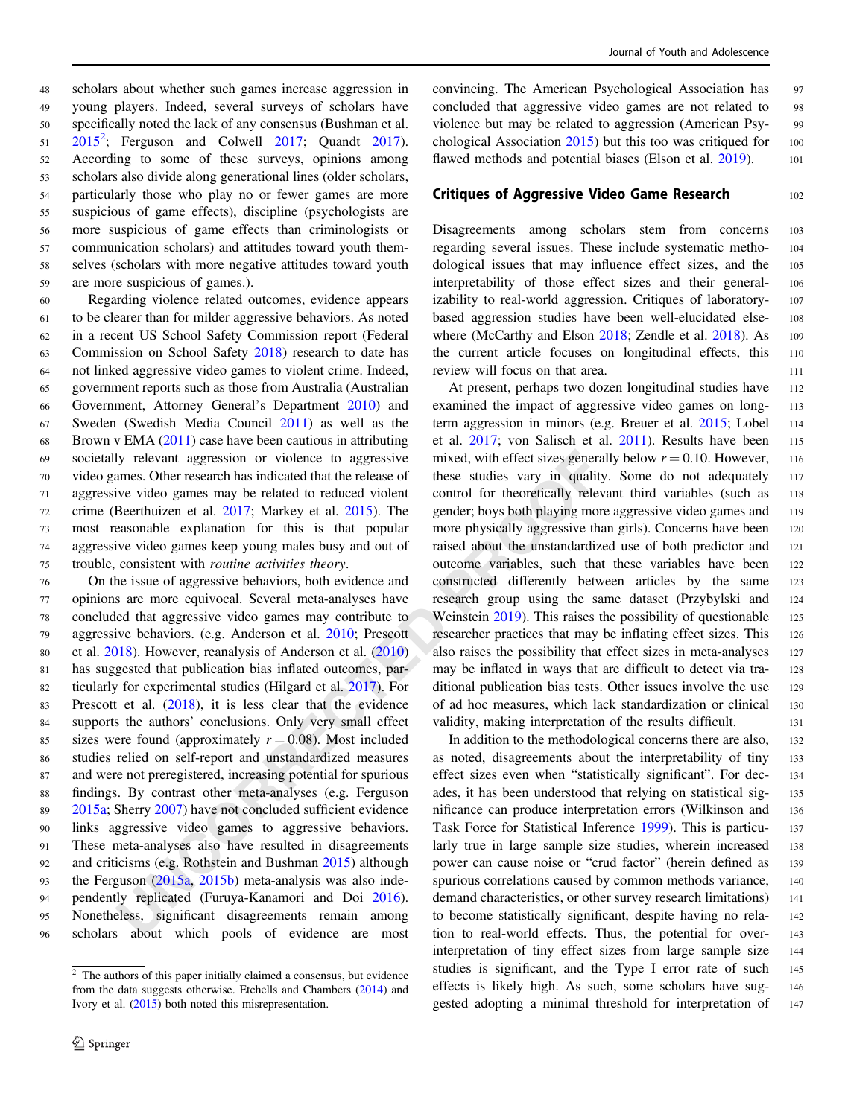scholars about whether such games increase aggression in young players. Indeed, several surveys of scholars have specifically noted the lack of any consensus (Bushman et al.  $2015^2$  $2015^2$ ; Ferguson and Colwell  $2017$ ; Quandt  $2017$ ). According to some of these surveys, opinions among scholars also divide along generational lines (older scholars, particularly those who play no or fewer games are more suspicious of game effects), discipline (psychologists are more suspicious of game effects than criminologists or communication scholars) and attitudes toward youth them- selves (scholars with more negative attitudes toward youth are more suspicious of games.).

 Regarding violence related outcomes, evidence appears to be clearer than for milder aggressive behaviors. As noted in a recent US School Safety Commission report (Federal Commission on School Safety [2018\)](#page-11-0) research to date has not linked aggressive video games to violent crime. Indeed, government reports such as those from Australia (Australian Government, Attorney General's Department [2010\)](#page-10-0) and Sweden (Swedish Media Council [2011](#page-12-0)) as well as the 68 Brown v EMA  $(2011)$  $(2011)$  case have been cautious in attributing societally relevant aggression or violence to aggressive video games. Other research has indicated that the release of aggressive video games may be related to reduced violent crime (Beerthuizen et al. 2017; Markey et al. 2015). The most reasonable explanation for this is that popular aggressive video games keep young males busy and out of trouble, consistent with routine activities theory.

Ity relevant aggression or violence to aggressive mixed, with effect sizes generate<br>sumes. Other research has indicated data the release of these sudics vary in quality<br>uve video games may be related to reduced violent co On the issue of aggressive behaviors, both evidence and opinions are more equivocal. Several meta-analyses have concluded that aggressive video games may contribute to aggressive behaviors. (e.g. Anderson et al. 2010; Prescott et al. [2018\)](#page-11-0). However, reanalysis of Anderson et al. (2010) has suggested that publication bias inflated outcomes, par- ticularly for experimental studies (Hilgard et al. 2017). For 83 Prescott et al. (2018), it is less clear that the evidence supports the authors' conclusions. Only very small effect 85 sizes were found (approximately  $r = 0.08$ ). Most included studies relied on self-report and unstandardized measures and were not preregistered, increasing potential for spurious findings. By contrast other meta-analyses (e.g. Ferguson [2015a](#page-11-0); Sherry 2007) have not concluded sufficient evidence links aggressive video games to aggressive behaviors. These meta-analyses also have resulted in disagreements and criticisms (e.g. Rothstein and Bushman 2015) although the Ferguson (2015a, 2015b) meta-analysis was also inde- pendently replicated (Furuya-Kanamori and Doi 2016). Nonetheless, significant disagreements remain among scholars about which pools of evidence are most

convincing. The American Psychological Association has 97 concluded that aggressive video games are not related to <sup>98</sup> violence but may be related to aggression (American Psy- <sup>99</sup> chological Association  $2015$ ) but this too was critiqued for 100 flawed methods and potential biases (Elson et al. [2019](#page-10-0)). 101

## Critiques of Aggressive Video Game Research 102

Disagreements among scholars stem from concerns <sup>103</sup> regarding several issues. These include systematic metho- <sup>104</sup> dological issues that may influence effect sizes, and the <sup>105</sup> interpretability of those effect sizes and their general- <sup>106</sup> izability to real-world aggression. Critiques of laboratory- <sup>107</sup> based aggression studies have been well-elucidated else- <sup>108</sup> where (McCarthy and Elson [2018;](#page-11-0) Zendle et al. [2018](#page-12-0)). As 109 the current article focuses on longitudinal effects, this <sup>110</sup> review will focus on that area. 111

At present, perhaps two dozen longitudinal studies have 112 examined the impact of aggressive video games on long- <sup>113</sup> term aggression in minors (e.g. Breuer et al. [2015](#page-10-0); Lobel 114 et al. [2017](#page-11-0); von Salisch et al. [2011](#page-12-0)). Results have been 115 mixed, with effect sizes generally below  $r = 0.10$ . However, 116 these studies vary in quality. Some do not adequately <sup>117</sup> control for theoretically relevant third variables (such as 118 gender; boys both playing more aggressive video games and 119 more physically aggressive than girls). Concerns have been 120 raised about the unstandardized use of both predictor and <sup>121</sup> outcome variables, such that these variables have been <sup>122</sup> constructed differently between articles by the same <sup>123</sup> research group using the same dataset (Przybylski and <sup>124</sup> Weinstein 2019). This raises the possibility of questionable 125 researcher practices that may be inflating effect sizes. This <sup>126</sup> also raises the possibility that effect sizes in meta-analyses <sup>127</sup> may be inflated in ways that are difficult to detect via tra- 128 ditional publication bias tests. Other issues involve the use 129 of ad hoc measures, which lack standardization or clinical <sup>130</sup> validity, making interpretation of the results difficult. 131

In addition to the methodological concerns there are also, 132 as noted, disagreements about the interpretability of tiny <sup>133</sup> effect sizes even when "statistically significant". For dec- <sup>134</sup> ades, it has been understood that relying on statistical sig- <sup>135</sup> nificance can produce interpretation errors (Wilkinson and <sup>136</sup> Task Force for Statistical Inference [1999](#page-12-0)). This is particu- <sup>137</sup> larly true in large sample size studies, wherein increased 138 power can cause noise or "crud factor" (herein defined as 139 spurious correlations caused by common methods variance, 140 demand characteristics, or other survey research limitations) 141 to become statistically significant, despite having no rela- <sup>142</sup> tion to real-world effects. Thus, the potential for over- <sup>143</sup> interpretation of tiny effect sizes from large sample size <sup>144</sup> studies is significant, and the Type I error rate of such <sup>145</sup> effects is likely high. As such, some scholars have sug- <sup>146</sup> gested adopting a minimal threshold for interpretation of 147

 $\frac{2}{1}$  The authors of this paper initially claimed a consensus, but evidence from the data suggests otherwise. Etchells and Chambers [\(2014](#page-10-0)) and Ivory et al. ([2015](#page-11-0)) both noted this misrepresentation.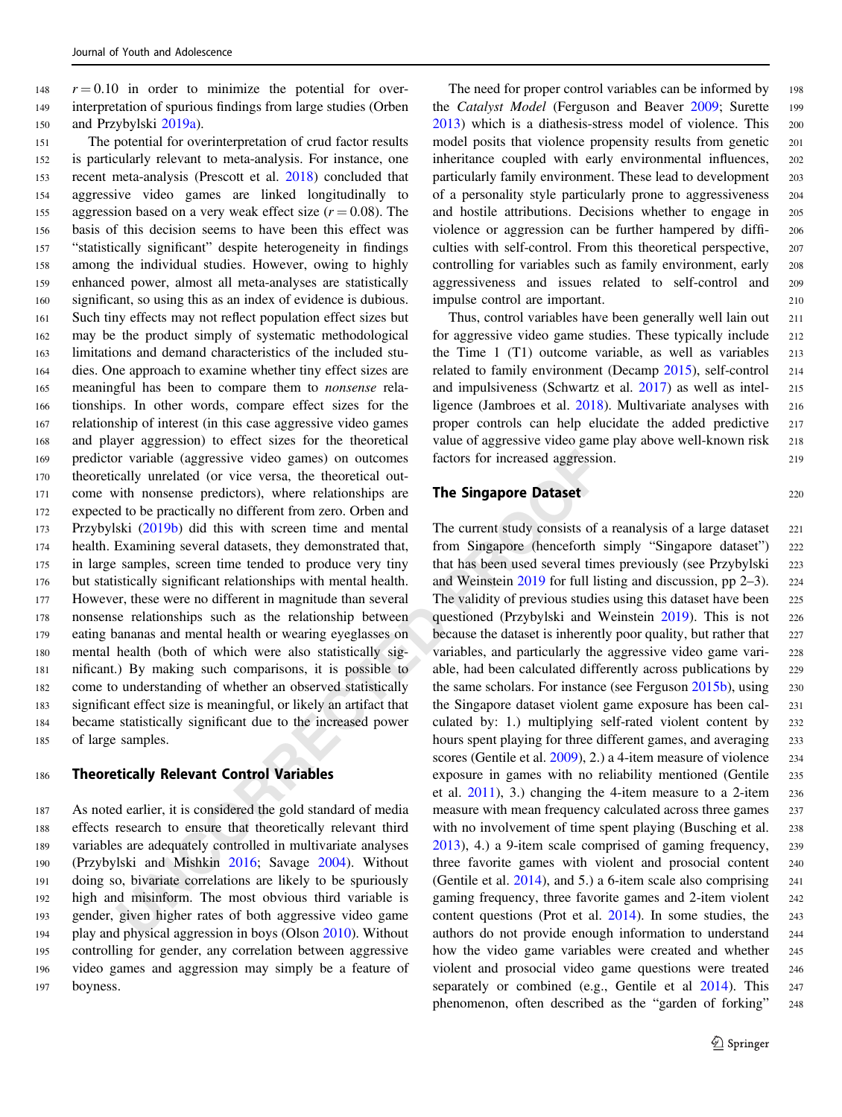$148 \, r = 0.10$  in order to minimize the potential for over-<sup>149</sup> interpretation of spurious findings from large studies (Orben <sup>150</sup> and Przybylski [2019a\)](#page-11-0).

In the core to the cheoretical of the cheoretical out the theoretical out we have a statement of view erread agressic with monsense predictors), where relationships are **The Singapore Dataset** do to be practically no diffe The potential for overinterpretation of crud factor results is particularly relevant to meta-analysis. For instance, one recent meta-analysis (Prescott et al. [2018\)](#page-11-0) concluded that aggressive video games are linked longitudinally to 155 aggression based on a very weak effect size  $(r = 0.08)$ . The basis of this decision seems to have been this effect was "statistically significant" despite heterogeneity in findings among the individual studies. However, owing to highly enhanced power, almost all meta-analyses are statistically significant, so using this as an index of evidence is dubious. Such tiny effects may not reflect population effect sizes but may be the product simply of systematic methodological limitations and demand characteristics of the included stu- dies. One approach to examine whether tiny effect sizes are meaningful has been to compare them to nonsense rela- tionships. In other words, compare effect sizes for the relationship of interest (in this case aggressive video games and player aggression) to effect sizes for the theoretical predictor variable (aggressive video games) on outcomes theoretically unrelated (or vice versa, the theoretical out- come with nonsense predictors), where relationships are expected to be practically no different from zero. Orben and Przybylski (2019b) did this with screen time and mental health. Examining several datasets, they demonstrated that, in large samples, screen time tended to produce very tiny but statistically significant relationships with mental health. However, these were no different in magnitude than several nonsense relationships such as the relationship between eating bananas and mental health or wearing eyeglasses on mental health (both of which were also statistically sig- nificant.) By making such comparisons, it is possible to come to understanding of whether an observed statistically significant effect size is meaningful, or likely an artifact that became statistically significant due to the increased power of large samples.

#### <sup>186</sup> Theoretically Relevant Control Variables

 As noted earlier, it is considered the gold standard of media effects research to ensure that theoretically relevant third variables are adequately controlled in multivariate analyses (Przybylski and Mishkin 2016; Savage 2004). Without doing so, bivariate correlations are likely to be spuriously high and misinform. The most obvious third variable is gender, given higher rates of both aggressive video game play and physical aggression in boys (Olson [2010](#page-11-0)). Without controlling for gender, any correlation between aggressive video games and aggression may simply be a feature of <sup>197</sup> boyness.

The need for proper control variables can be informed by 198 the Catalyst Model (Ferguson and Beaver [2009;](#page-11-0) Surette 199 [2013](#page-12-0)) which is a diathesis-stress model of violence. This <sup>200</sup> model posits that violence propensity results from genetic 201 inheritance coupled with early environmental influences, <sup>202</sup> particularly family environment. These lead to development <sup>203</sup> of a personality style particularly prone to aggressiveness <sup>204</sup> and hostile attributions. Decisions whether to engage in <sup>205</sup> violence or aggression can be further hampered by diffi- <sup>206</sup> culties with self-control. From this theoretical perspective, <sup>207</sup> controlling for variables such as family environment, early <sup>208</sup> aggressiveness and issues related to self-control and <sup>209</sup> impulse control are important. <sup>210</sup>

Thus, control variables have been generally well lain out 211 for aggressive video game studies. These typically include <sup>212</sup> the Time  $1$  (T1) outcome variable, as well as variables  $213$ related to family environment (Decamp [2015\)](#page-10-0), self-control <sup>214</sup> and impulsiveness (Schwartz et al. [2017\)](#page-12-0) as well as intel- <sup>215</sup> ligence (Jambroes et al. [2018](#page-11-0)). Multivariate analyses with 216 proper controls can help elucidate the added predictive <sup>217</sup> value of aggressive video game play above well-known risk 218 factors for increased aggression. 219

## **The Singapore Dataset**

The current study consists of a reanalysis of a large dataset 221 from Singapore (henceforth simply "Singapore dataset") <sup>222</sup> that has been used several times previously (see Przybylski <sup>223</sup> and Weinstein 2019 for full listing and discussion, pp 2–3). <sup>224</sup> The validity of previous studies using this dataset have been 225 questioned (Przybylski and Weinstein [2019\)](#page-12-0). This is not <sup>226</sup> because the dataset is inherently poor quality, but rather that 227 variables, and particularly the aggressive video game vari- <sup>228</sup> able, had been calculated differently across publications by <sup>229</sup> the same scholars. For instance (see Ferguson [2015b](#page-11-0)), using 230 the Singapore dataset violent game exposure has been cal- <sup>231</sup> culated by: 1.) multiplying self-rated violent content by <sup>232</sup> hours spent playing for three different games, and averaging 233 scores (Gentile et al. 2009), 2.) a 4-item measure of violence 234 exposure in games with no reliability mentioned (Gentile <sup>235</sup> et al.  $2011$ , 3.) changing the 4-item measure to a 2-item  $236$ measure with mean frequency calculated across three games 237 with no involvement of time spent playing (Busching et al. 238 2013), 4.) a 9-item scale comprised of gaming frequency, <sup>239</sup> three favorite games with violent and prosocial content <sup>240</sup> (Gentile et al.  $2014$ ), and 5.) a 6-item scale also comprising 241 gaming frequency, three favorite games and 2-item violent <sup>242</sup> content questions (Prot et al. [2014](#page-11-0)). In some studies, the <sup>243</sup> authors do not provide enough information to understand <sup>244</sup> how the video game variables were created and whether 245 violent and prosocial video game questions were treated <sup>246</sup> separately or combined (e.g., Gentile et al [2014](#page-11-0)). This 247 phenomenon, often described as the "garden of forking" <sup>248</sup>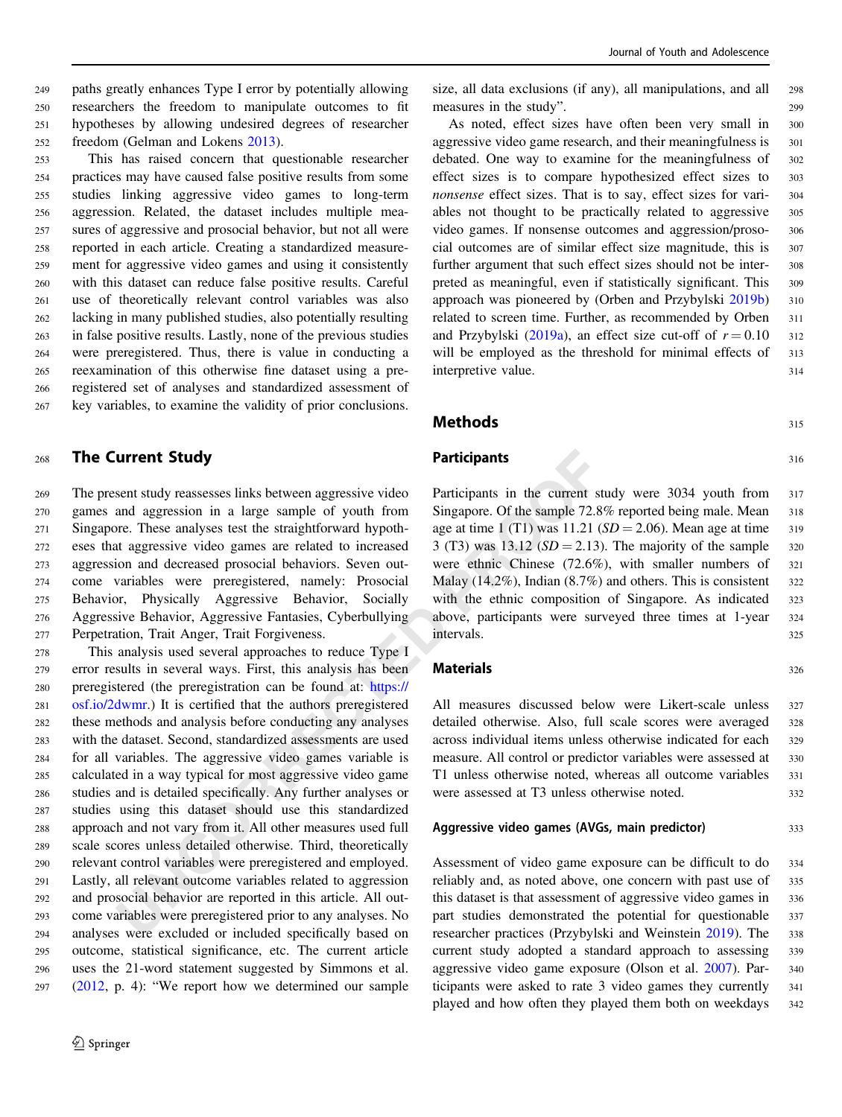paths greatly enhances Type I error by potentially allowing researchers the freedom to manipulate outcomes to fit hypotheses by allowing undesired degrees of researcher freedom (Gelman and Lokens [2013](#page-11-0)).

 This has raised concern that questionable researcher practices may have caused false positive results from some studies linking aggressive video games to long-term aggression. Related, the dataset includes multiple mea- sures of aggressive and prosocial behavior, but not all were reported in each article. Creating a standardized measure- ment for aggressive video games and using it consistently with this dataset can reduce false positive results. Careful use of theoretically relevant control variables was also lacking in many published studies, also potentially resulting in false positive results. Lastly, none of the previous studies were preregistered. Thus, there is value in conducting a reexamination of this otherwise fine dataset using a pre- registered set of analyses and standardized assessment of key variables, to examine the validity of prior conclusions.

## <sup>268</sup> The Current Study

 The present study reassesses links between aggressive video games and aggression in a large sample of youth from Singapore. These analyses test the straightforward hypoth- eses that aggressive video games are related to increased aggression and decreased prosocial behaviors. Seven out- come variables were preregistered, namely: Prosocial Behavior, Physically Aggressive Behavior, Socially Aggressive Behavior, Aggressive Fantasies, Cyberbullying Perpetration, Trait Anger, Trait Forgiveness.

**Participants**<br> **Participants**<br>
Sent study reassesses links between aggressive video<br>
Participants in the current st<br>
and aggression in a large sample of youth from<br>
Singapore. Of the sample 72.8<br>
and aggressive video game This analysis used several approaches to reduce Type I error results in several ways. First, this analysis has been preregistered (the preregistration can be found at: https:// [osf.io/2dwmr](https://osf.io/2dwmr).) It is certified that the authors preregistered these methods and analysis before conducting any analyses with the dataset. Second, standardized assessments are used for all variables. The aggressive video games variable is calculated in a way typical for most aggressive video game studies and is detailed specifically. Any further analyses or studies using this dataset should use this standardized approach and not vary from it. All other measures used full scale scores unless detailed otherwise. Third, theoretically relevant control variables were preregistered and employed. Lastly, all relevant outcome variables related to aggression and prosocial behavior are reported in this article. All out- come variables were preregistered prior to any analyses. No analyses were excluded or included specifically based on outcome, statistical significance, etc. The current article uses the 21-word statement suggested by Simmons et al. [\(2012](#page-12-0), p. 4): "We report how we determined our sample

size, all data exclusions (if any), all manipulations, and all <sup>298</sup> measures in the study". 299

As noted, effect sizes have often been very small in <sup>300</sup> aggressive video game research, and their meaningfulness is 301 debated. One way to examine for the meaningfulness of 302 effect sizes is to compare hypothesized effect sizes to <sup>303</sup> nonsense effect sizes. That is to say, effect sizes for vari-<br>304 ables not thought to be practically related to aggressive 305 video games. If nonsense outcomes and aggression/proso- <sup>306</sup> cial outcomes are of similar effect size magnitude, this is 307 further argument that such effect sizes should not be inter- <sup>308</sup> preted as meaningful, even if statistically significant. This 309 approach was pioneered by (Orben and Przybylski [2019b](#page-11-0)) 310 related to screen time. Further, as recommended by Orben 311 and Przybylski [\(2019a\)](#page-11-0), an effect size cut-off of  $r = 0.10$  312 will be employed as the threshold for minimal effects of 313 interpretive value. 314

## $315$

#### Participants 316

Participants in the current study were 3034 youth from 317 Singapore. Of the sample 72.8% reported being male. Mean 318 age at time 1 (T1) was  $11.21$  (SD = 2.06). Mean age at time 319 3 (T3) was 13.12 ( $SD = 2.13$ ). The majority of the sample 320 were ethnic Chinese (72.6%), with smaller numbers of 321 Malay  $(14.2\%)$ , Indian  $(8.7\%)$  and others. This is consistent 322 with the ethnic composition of Singapore. As indicated 323 above, participants were surveyed three times at 1-year <sup>324</sup> intervals. <sup>325</sup>

## Materials 326

All measures discussed below were Likert-scale unless 327 detailed otherwise. Also, full scale scores were averaged 328 across individual items unless otherwise indicated for each <sup>329</sup> measure. All control or predictor variables were assessed at 330 T1 unless otherwise noted, whereas all outcome variables <sup>331</sup> were assessed at T3 unless otherwise noted. 332

## Aggressive video games (AVGs, main predictor) 333

Assessment of video game exposure can be difficult to do 334 reliably and, as noted above, one concern with past use of 335 this dataset is that assessment of aggressive video games in 336 part studies demonstrated the potential for questionable <sup>337</sup> researcher practices (Przybylski and Weinstein [2019](#page-12-0)). The <sup>338</sup> current study adopted a standard approach to assessing <sup>339</sup> aggressive video game exposure (Olson et al. [2007](#page-11-0)). Par- <sup>340</sup> ticipants were asked to rate 3 video games they currently <sup>341</sup> played and how often they played them both on weekdays <sup>342</sup>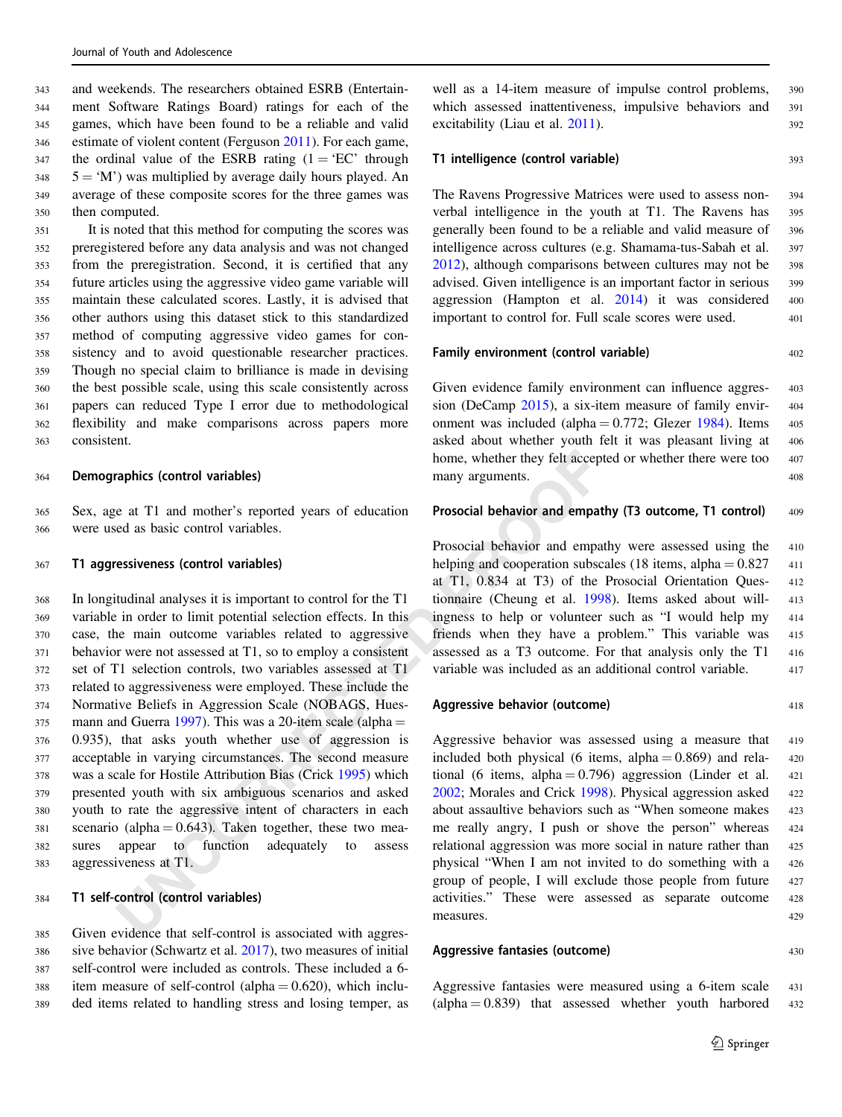and weekends. The researchers obtained ESRB (Entertain- ment Software Ratings Board) ratings for each of the games, which have been found to be a reliable and valid estimate of violent content (Ferguson [2011\)](#page-11-0). For each game, 347 the ordinal value of the ESRB rating  $(1 = ^{\circ}EC^{\circ})$  through 5 = 'M') was multiplied by average daily hours played. An average of these composite scores for the three games was then computed.

 It is noted that this method for computing the scores was preregistered before any data analysis and was not changed from the preregistration. Second, it is certified that any future articles using the aggressive video game variable will maintain these calculated scores. Lastly, it is advised that other authors using this dataset stick to this standardized method of computing aggressive video games for con- sistency and to avoid questionable researcher practices. Though no special claim to brilliance is made in devising the best possible scale, using this scale consistently across papers can reduced Type I error due to methodological flexibility and make comparisons across papers more consistent.

#### <sup>364</sup> Demographics (control variables)

<sup>365</sup> Sex, age at T1 and mother's reported years of education <sup>366</sup> were used as basic control variables.

## <sup>367</sup> T1 aggressiveness (control variables)

many arguments.<br>
and mother's reported years of education<br>
many arguments.<br>
e. at T1 and mother's reported years of education<br>
Prosocial behavior and empated as basic control variables)<br>  $\frac{1}{2}$ <br>
EProsocial behavior and In longitudinal analyses it is important to control for the T1 variable in order to limit potential selection effects. In this case, the main outcome variables related to aggressive behavior were not assessed at T1, so to employ a consistent set of T1 selection controls, two variables assessed at T1 related to aggressiveness were employed. These include the Normative Beliefs in Aggression Scale (NOBAGS, Hues- mann and Guerra 1997). This was a 20-item scale (alpha = 0.935), that asks youth whether use of aggression is acceptable in varying circumstances. The second measure was a scale for Hostile Attribution Bias (Crick 1995) which presented youth with six ambiguous scenarios and asked youth to rate the aggressive intent of characters in each 381 scenario (alpha  $= 0.643$ ). Taken together, these two mea- sures appear to function adequately to assess aggressiveness at T1.

#### <sup>384</sup> T1 self-control (control variables)

 Given evidence that self-control is associated with aggres- sive behavior (Schwartz et al. [2017\)](#page-12-0), two measures of initial self-control were included as controls. These included a 6- 388 item measure of self-control (alpha  $= 0.620$ ), which inclu-ded items related to handling stress and losing temper, as

well as a 14-item measure of impulse control problems, 390 which assessed inattentiveness, impulsive behaviors and <sup>391</sup> excitability (Liau et al. [2011\)](#page-11-0). 392

## T1 intelligence (control variable) 393

The Ravens Progressive Matrices were used to assess non- <sup>394</sup> verbal intelligence in the youth at T1. The Ravens has <sup>395</sup> generally been found to be a reliable and valid measure of <sup>396</sup> intelligence across cultures (e.g. Shamama-tus-Sabah et al. <sup>397</sup> [2012](#page-12-0)), although comparisons between cultures may not be 398 advised. Given intelligence is an important factor in serious 399 aggression (Hampton et al. [2014](#page-11-0)) it was considered <sup>400</sup> important to control for. Full scale scores were used. 401

#### Family environment (control variable) 402

Given evidence family environment can influence aggres- 403 sion (DeCamp [2015\)](#page-10-0), a six-item measure of family envir- <sup>404</sup> onment was included (alpha  $= 0.772$ ; Glezer [1984\)](#page-11-0). Items 405 asked about whether youth felt it was pleasant living at <sup>406</sup> home, whether they felt accepted or whether there were too 407 many arguments. 408

#### Prosocial behavior and empathy (T3 outcome, T1 control) 409

Prosocial behavior and empathy were assessed using the <sup>410</sup> helping and cooperation subscales (18 items, alpha  $= 0.827$  411 at T1, 0.834 at T3) of the Prosocial Orientation Ques- <sup>412</sup> tionnaire (Cheung et al. [1998\)](#page-10-0). Items asked about will- <sup>413</sup> ingness to help or volunteer such as "I would help my <sup>414</sup> friends when they have a problem." This variable was 415 assessed as a T3 outcome. For that analysis only the T1 <sup>416</sup> variable was included as an additional control variable. 417

#### Aggressive behavior (outcome) 418

Aggressive behavior was assessed using a measure that 419 included both physical (6 items, alpha  $= 0.869$ ) and rela-  $420$ tional (6 items, alpha  $= 0.796$ ) aggression (Linder et al. 421 2002; Morales and Crick [1998](#page-11-0)). Physical aggression asked <sup>422</sup> about assaultive behaviors such as "When someone makes 423 me really angry, I push or shove the person" whereas <sup>424</sup> relational aggression was more social in nature rather than <sup>425</sup> physical "When I am not invited to do something with a <sup>426</sup> group of people, I will exclude those people from future <sup>427</sup> activities." These were assessed as separate outcome <sup>428</sup> measures. 429

## Aggressive fantasies (outcome) 430

Aggressive fantasies were measured using a 6-item scale <sup>431</sup>  $\alpha$  (alpha = 0.839) that assessed whether youth harbored 432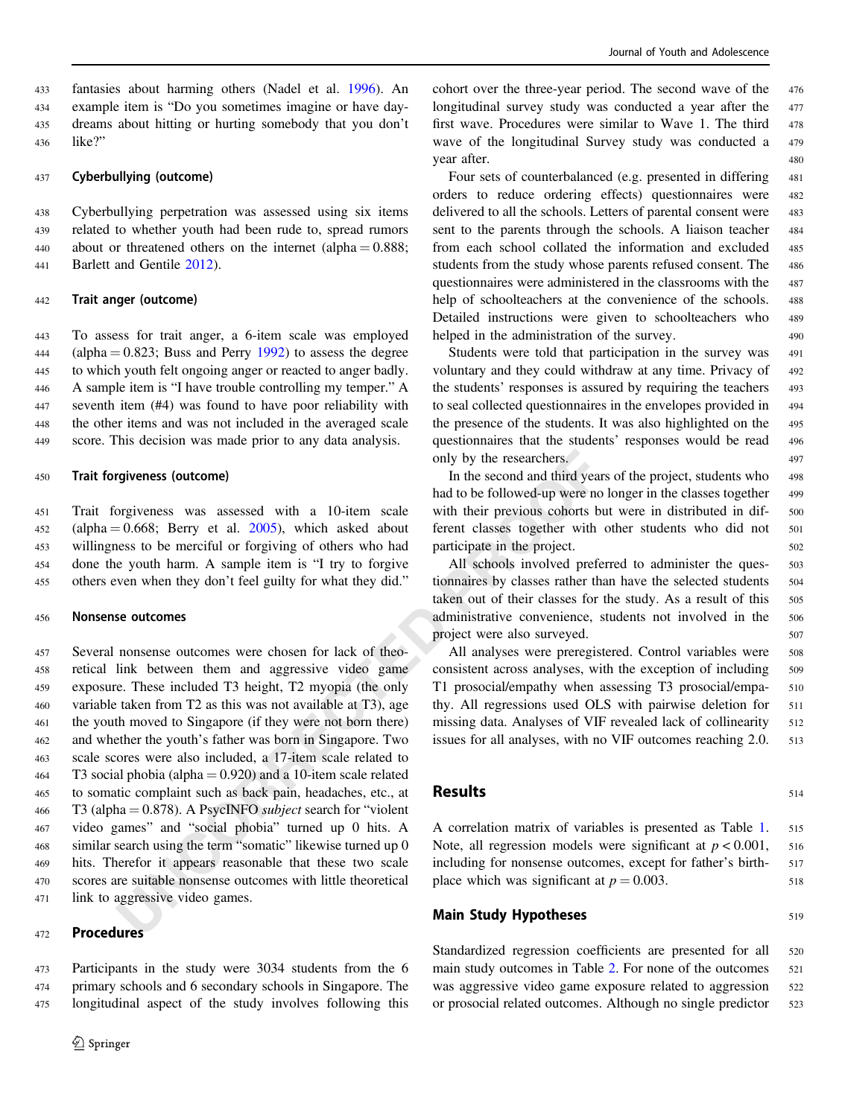fantasies about harming others (Nadel et al. [1996\)](#page-11-0). An example item is "Do you sometimes imagine or have day- dreams about hitting or hurting somebody that you don't <sup>436</sup> like?"

#### <sup>437</sup> Cyberbullying (outcome)

 Cyberbullying perpetration was assessed using six items related to whether youth had been rude to, spread rumors 440 about or threatened others on the internet (alpha  $= 0.888$ ; Barlett and Gentile [2012](#page-10-0)).

#### <sup>442</sup> Trait anger (outcome)

 To assess for trait anger, a 6-item scale was employed 444 (alpha =  $0.823$ ; Buss and Perry [1992\)](#page-10-0) to assess the degree to which youth felt ongoing anger or reacted to anger badly. A sample item is "I have trouble controlling my temper." A seventh item (#4) was found to have poor reliability with the other items and was not included in the averaged scale score. This decision was made prior to any data analysis.

#### <sup>450</sup> Trait forgiveness (outcome)

 Trait forgiveness was assessed with a 10-item scale (alpha = 0.668; Berry et al. 2005), which asked about willingness to be merciful or forgiving of others who had done the youth harm. A sample item is "I try to forgive others even when they don't feel guilty for what they did."

#### <sup>456</sup> Nonsense outcomes

**UNCORRECTED** only by the researchers.<br>
In the second and thrid year<br>
bad to be followed-up were no<br>
excond and thrid year<br>
bad to be followed-up were no<br>
excosi Berry et al. 2005), which asked about freent classes togethe Several nonsense outcomes were chosen for lack of theo- retical link between them and aggressive video game exposure. These included T3 height, T2 myopia (the only variable taken from T2 as this was not available at T3), age the youth moved to Singapore (if they were not born there) and whether the youth's father was born in Singapore. Two scale scores were also included, a 17-item scale related to 464 T3 social phobia (alpha  $= 0.920$ ) and a 10-item scale related to somatic complaint such as back pain, headaches, etc., at 466 T3 (alpha  $= 0.878$ ). A PsycINFO *subject* search for "violent" video games" and "social phobia" turned up 0 hits. A similar search using the term "somatic" likewise turned up 0 hits. Therefor it appears reasonable that these two scale scores are suitable nonsense outcomes with little theoretical link to aggressive video games.

## <sup>472</sup> Procedures

<sup>473</sup> Participants in the study were 3034 students from the 6 <sup>474</sup> primary schools and 6 secondary schools in Singapore. The <sup>475</sup> longitudinal aspect of the study involves following this cohort over the three-year period. The second wave of the <sup>476</sup> longitudinal survey study was conducted a year after the 477 first wave. Procedures were similar to Wave 1. The third 478 wave of the longitudinal Survey study was conducted a 479 year after. 480

Four sets of counterbalanced (e.g. presented in differing 481 orders to reduce ordering effects) questionnaires were <sup>482</sup> delivered to all the schools. Letters of parental consent were 483 sent to the parents through the schools. A liaison teacher 484 from each school collated the information and excluded <sup>485</sup> students from the study whose parents refused consent. The 486 questionnaires were administered in the classrooms with the <sup>487</sup> help of schoolteachers at the convenience of the schools. 488 Detailed instructions were given to schoolteachers who <sup>489</sup> helped in the administration of the survey. 490

Students were told that participation in the survey was 491 voluntary and they could withdraw at any time. Privacy of 492 the students' responses is assured by requiring the teachers 493 to seal collected questionnaires in the envelopes provided in <sup>494</sup> the presence of the students. It was also highlighted on the 495 questionnaires that the students' responses would be read <sup>496</sup> only by the researchers.  $497$ 

In the second and third years of the project, students who 498 had to be followed-up were no longer in the classes together 499 with their previous cohorts but were in distributed in dif-<br>500 ferent classes together with other students who did not <sup>501</sup> participate in the project. 502

All schools involved preferred to administer the ques-<br>503 tionnaires by classes rather than have the selected students 504 taken out of their classes for the study. As a result of this 505 administrative convenience, students not involved in the <sup>506</sup> project were also surveyed. 507

All analyses were preregistered. Control variables were 508 consistent across analyses, with the exception of including 509 T1 prosocial/empathy when assessing T3 prosocial/empa- <sup>510</sup> thy. All regressions used OLS with pairwise deletion for 511 missing data. Analyses of VIF revealed lack of collinearity 512 issues for all analyses, with no VIF outcomes reaching 2.0. 513

## **514**

A correlation matrix of variables is presented as Table [1.](#page-6-0) 515 Note, all regression models were significant at  $p < 0.001$ , 516 including for nonsense outcomes, except for father's birth- <sup>517</sup> place which was significant at  $p = 0.003$ . 518

## **Main Study Hypotheses** 519

Standardized regression coefficients are presented for all 520 main study outcomes in Table [2.](#page-7-0) For none of the outcomes 521 was aggressive video game exposure related to aggression 522 or prosocial related outcomes. Although no single predictor 523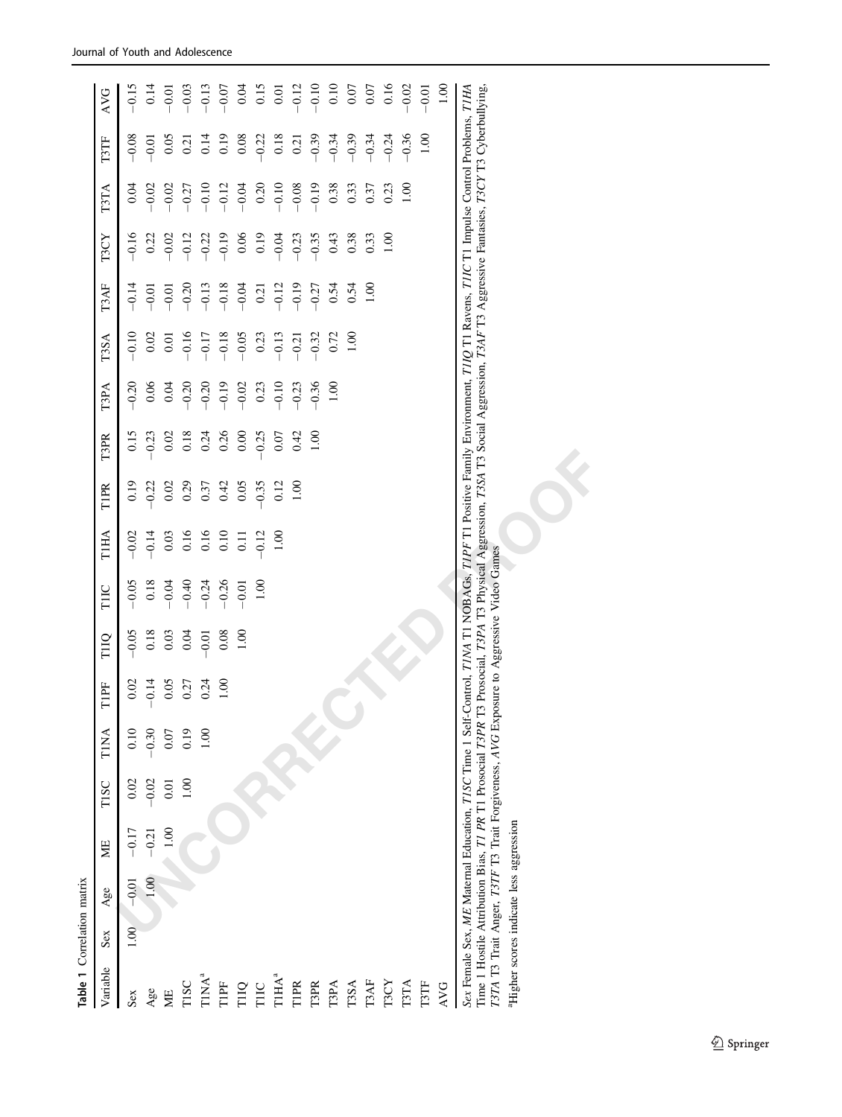| Table 1 Correlation matrix                                                                                                                                                                                                                                                                                                                                         |      |         |                                                                                         |         |                |         |         |          |                |             |          |         |             |         |         |         |          |                                             |
|--------------------------------------------------------------------------------------------------------------------------------------------------------------------------------------------------------------------------------------------------------------------------------------------------------------------------------------------------------------------|------|---------|-----------------------------------------------------------------------------------------|---------|----------------|---------|---------|----------|----------------|-------------|----------|---------|-------------|---------|---------|---------|----------|---------------------------------------------|
| Variable                                                                                                                                                                                                                                                                                                                                                           | Sex  | Age     | УE                                                                                      | TISC    | TINA           | TIPF    | TIIQ    | TIIC     | TIHA           | <b>TIPR</b> | T3PR     | T3PA    | <b>T3SA</b> | T3AF    | T3CY    | T3TA    | T3TF     | <b>AVG</b>                                  |
| Sex                                                                                                                                                                                                                                                                                                                                                                | 1.00 | $-0.01$ | $-0.17$                                                                                 | 0.02    | 0.10           | 0.02    | $-0.05$ | $-0.05$  | $-0.02$        | 0.19        | 0.15     | $-0.20$ | $-0.10$     | $-0.14$ | $-0.16$ | 0.04    | $-0.08$  | $-0.15$                                     |
| Age                                                                                                                                                                                                                                                                                                                                                                |      | 1.00    | $-0.21$                                                                                 | $-0.02$ | $-0.30$        | $-0.14$ | 0.18    | $0.18\,$ | $-0.14$        | $-0.22$     | $-0.23$  | 0.06    | 0.02        | $-0.01$ | 0.22    | $-0.02$ | $-0.01$  | 0.14                                        |
| МE                                                                                                                                                                                                                                                                                                                                                                 |      |         | 1.00                                                                                    | 0.01    | 0.07           | 0.05    | 0.03    | $-0.04$  | 0.03           | 0.02        | $0.02\,$ | 0.04    | 0.01        | $-0.01$ | $-0.02$ | $-0.02$ | 0.05     | $-0.01$                                     |
| TISC                                                                                                                                                                                                                                                                                                                                                               |      |         |                                                                                         | 1.00    | 0.19           | 0.27    | 0.04    | $-0.40$  | 0.16           | 0.29        | $0.18\,$ | $-0.20$ | $-0.16$     | $-0.20$ | $-0.12$ | $-0.27$ | 0.21     | $-0.03$                                     |
| $\mathbf{T} \mathbf{I} \mathbf{N} \mathbf{A}^a$                                                                                                                                                                                                                                                                                                                    |      |         |                                                                                         |         | $\overline{5}$ | 0.24    | $-0.01$ | $-0.24$  | 0.16           | 0.37        | 0.24     | $-0.20$ | $-0.17$     | $-0.13$ | $-0.22$ | $-0.10$ | 0.14     | $-0.13$                                     |
| $\ensuremath{\mathsf{T}}\xspace\ensuremath{\mathsf{I}}\xspace\ensuremath{\mathsf{P}}\xspace\ensuremath{\mathsf{F}}\xspace$                                                                                                                                                                                                                                         |      |         |                                                                                         |         |                | 00.1    | 0.08    | $-0.26$  | 0.10           | 0.42        | 0.26     | $-0.19$ | $-0.18$     | $-0.18$ | $-0.19$ | $-0.12$ | 0.19     | $-0.07$                                     |
| TIIQ                                                                                                                                                                                                                                                                                                                                                               |      |         |                                                                                         |         |                |         | 1.00    | $-0.01$  | $\overline{0}$ | 0.05        | 0.00     | $-0.02$ | $-0.05$     | $-0.04$ | 0.06    | $-0.04$ | $0.08\,$ | 0.04                                        |
| TIIC                                                                                                                                                                                                                                                                                                                                                               |      |         |                                                                                         |         |                |         |         | 1.00     | $-0.12$        | $-0.35$     | $-0.25$  | 0.23    | 0.23        | 0.21    | 0.19    | 0.20    | $-0.22$  |                                             |
| T1HA <sup>a</sup>                                                                                                                                                                                                                                                                                                                                                  |      |         |                                                                                         |         |                |         |         |          | 001            | 0.12        | 0.07     | $-0.10$ | $-0.13$     | $-0.12$ | $-0.04$ | $-0.10$ | 0.18     | $\begin{array}{c} 0.15 \\ 0.01 \end{array}$ |
| TIPR                                                                                                                                                                                                                                                                                                                                                               |      |         |                                                                                         |         |                |         |         |          |                | 00.1        | 0.42     | $-0.23$ | $-0.21$     | $-0.19$ | $-0.23$ | $-0.08$ | 0.21     | $-0.12$                                     |
| <b>T3PR</b>                                                                                                                                                                                                                                                                                                                                                        |      |         |                                                                                         |         |                |         |         |          |                |             | 00.1     | $-0.36$ | $-0.32$     | $-0.27$ | $-0.35$ | $-0.19$ | $-0.39$  | $-0.10$                                     |
| T3PA                                                                                                                                                                                                                                                                                                                                                               |      |         |                                                                                         |         |                |         |         |          |                |             |          | 001     | 0.72        | 0.54    | 0.43    | 0.38    | $-0.34$  | 0.10                                        |
| <b>T3SA</b>                                                                                                                                                                                                                                                                                                                                                        |      |         |                                                                                         |         |                |         |         |          |                |             |          |         | 1.00        | 0.54    | 0.38    | 0.33    | $-0.39$  | 0.07                                        |
| T3AF                                                                                                                                                                                                                                                                                                                                                               |      |         |                                                                                         |         |                |         |         |          |                |             |          |         |             | 1.00    | 0.33    | 0.37    | $-0.34$  | 0.07                                        |
| T3CY                                                                                                                                                                                                                                                                                                                                                               |      |         |                                                                                         |         |                |         |         |          |                |             |          |         |             |         | 00(1)   | 0.23    | $-0.24$  | 0.16                                        |
| T3TA                                                                                                                                                                                                                                                                                                                                                               |      |         |                                                                                         |         |                |         |         |          |                |             |          |         |             |         |         | 001     | $-0.36$  | $-0.02$                                     |
| T3TF                                                                                                                                                                                                                                                                                                                                                               |      |         |                                                                                         |         |                |         |         |          |                |             |          |         |             |         |         |         | 1.00     | $-0.01$                                     |
| <b>AVG</b>                                                                                                                                                                                                                                                                                                                                                         |      |         |                                                                                         |         |                |         |         |          |                |             |          |         |             |         |         |         |          | 00.1                                        |
| Sex Female Sex, ME Maternal Education, TISC Time 1 Self-Control, TIMA T1 NOBAGs, TIPF T1 Positive Family Environment, TIIQ T1 Ravens, TIIC T1 Impulse Control Problems, TIHA<br>Time 1 Hostile Attribution Bias, T1 PR T1 Prosocial T3PR T3 Prosocial, T3PA T3 Physical Aggression, T3SA T3 Social Aggression, T3AF T3 Aggressive Fantasies, T3CY T3 Cyberbullying |      |         |                                                                                         |         |                |         |         |          |                |             |          |         |             |         |         |         |          |                                             |
|                                                                                                                                                                                                                                                                                                                                                                    |      |         | 1371A T3 Trait Anger, T3TF T3 Trait Forgiveness, AVG Exposure to Aggressive Video Games |         |                |         |         |          |                |             |          |         |             |         |         |         |          |                                             |
| <sup>a</sup> Higher scores indicate less aggression                                                                                                                                                                                                                                                                                                                |      |         |                                                                                         |         |                |         |         |          |                |             |          |         |             |         |         |         |          |                                             |
|                                                                                                                                                                                                                                                                                                                                                                    |      |         |                                                                                         |         |                |         |         |          |                |             |          |         |             |         |         |         |          |                                             |
|                                                                                                                                                                                                                                                                                                                                                                    |      |         |                                                                                         |         |                |         |         |          |                |             |          |         |             |         |         |         |          |                                             |
|                                                                                                                                                                                                                                                                                                                                                                    |      |         |                                                                                         |         |                |         |         |          |                |             |          |         |             |         |         |         |          |                                             |

| Sex Female Sex, ME Maternal Education, TISC Time 1 Self-Control, TIMA T1 NOBAGs, TIPF T1 Positive Family Environment, TIIQ T1 Ravens, TIIC T1 Impulse Control Problems, TIHA               |  |
|--------------------------------------------------------------------------------------------------------------------------------------------------------------------------------------------|--|
| Time 1 Hostile Attribution Bias, <i>T1 PR</i> T1 Prosocial 73PR T3 Prosocial, 73PA T3 Physical Aggression, 73SA T3 Social Aggression, 73AF T3 Aggressive Fantasies, 73CY T3 Cyberbullying, |  |
| T3TA T3 Trait Anger, T3TF T3 Trait Forgiveness, AVG Exposure to Aggressive Video Games                                                                                                     |  |
| <sup>a</sup> Higher scores indicate less aggression                                                                                                                                        |  |

<span id="page-6-0"></span>Journal of Youth and Adolescence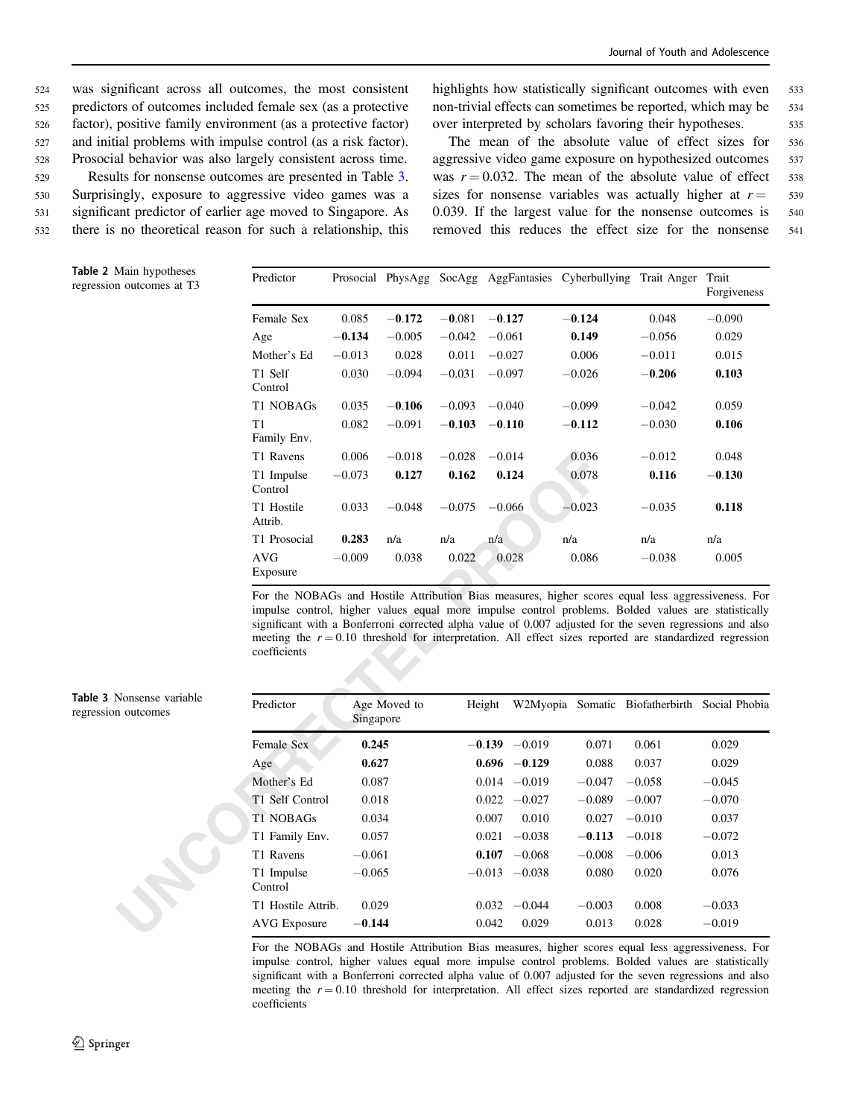<span id="page-7-0"></span> was significant across all outcomes, the most consistent predictors of outcomes included female sex (as a protective factor), positive family environment (as a protective factor) and initial problems with impulse control (as a risk factor). Prosocial behavior was also largely consistent across time. Results for nonsense outcomes are presented in Table 3. Surprisingly, exposure to aggressive video games was a significant predictor of earlier age moved to Singapore. As there is no theoretical reason for such a relationship, this highlights how statistically significant outcomes with even 533 non-trivial effects can sometimes be reported, which may be 534 over interpreted by scholars favoring their hypotheses. 535

The mean of the absolute value of effect sizes for <sup>536</sup> aggressive video game exposure on hypothesized outcomes 537 was  $r = 0.032$ . The mean of the absolute value of effect 538 sizes for nonsense variables was actually higher at  $r = 539$ 0.039. If the largest value for the nonsense outcomes is 540 removed this reduces the effect size for the nonsense <sup>541</sup>

| Predictor             |          |          |          |          | Prosocial PhysAgg SocAgg AggFantasies Cyberbullying Trait Anger |          | Trait<br>Forgiveness |
|-----------------------|----------|----------|----------|----------|-----------------------------------------------------------------|----------|----------------------|
| Female Sex            | 0.085    | $-0.172$ | $-0.081$ | $-0.127$ | $-0.124$                                                        | 0.048    | $-0.090$             |
| Age                   | $-0.134$ | $-0.005$ | $-0.042$ | $-0.061$ | 0.149                                                           | $-0.056$ | 0.029                |
| Mother's Ed           | $-0.013$ | 0.028    | 0.011    | $-0.027$ | 0.006                                                           | $-0.011$ | 0.015                |
| T1 Self<br>Control    | 0.030    | $-0.094$ | $-0.031$ | $-0.097$ | $-0.026$                                                        | $-0.206$ | 0.103                |
| T1 NOBAGs             | 0.035    | $-0.106$ | $-0.093$ | $-0.040$ | $-0.099$                                                        | $-0.042$ | 0.059                |
| T1<br>Family Env.     | 0.082    | $-0.091$ | $-0.103$ | $-0.110$ | $-0.112$                                                        | $-0.030$ | 0.106                |
| T1 Ravens             | 0.006    | $-0.018$ | $-0.028$ | $-0.014$ | 0.036                                                           | $-0.012$ | 0.048                |
| T1 Impulse<br>Control | $-0.073$ | 0.127    | 0.162    | 0.124    | 0.078                                                           | 0.116    | $-0.130$             |
| T1 Hostile<br>Attrib. | 0.033    | $-0.048$ | $-0.075$ | $-0.066$ | $-0.023$                                                        | $-0.035$ | 0.118                |
| T1 Prosocial          | 0.283    | n/a      | n/a      | n/a      | n/a                                                             | n/a      | n/a                  |
| AVG<br>Exposure       | $-0.009$ | 0.038    | 0.022    | 0.028    | 0.086                                                           | $-0.038$ | 0.005                |

|                                 | T1 Ravens                                                                                                                                                                                                                                                                                                                                                                                                                                           | 0.006     | $-0.018$     | $-0.028$ | $-0.014$ |                 | 0.036    | $-0.012$                                      | 0.048    |
|---------------------------------|-----------------------------------------------------------------------------------------------------------------------------------------------------------------------------------------------------------------------------------------------------------------------------------------------------------------------------------------------------------------------------------------------------------------------------------------------------|-----------|--------------|----------|----------|-----------------|----------|-----------------------------------------------|----------|
|                                 | T1 Impulse<br>Control                                                                                                                                                                                                                                                                                                                                                                                                                               | $-0.073$  | 0.127        | 0.162    |          | 0.124           | 0.078    | 0.116                                         | $-0.130$ |
|                                 | T1 Hostile<br>Attrib.                                                                                                                                                                                                                                                                                                                                                                                                                               | 0.033     | $-0.048$     | $-0.075$ | $-0.066$ |                 | $-0.023$ | $-0.035$                                      | 0.118    |
|                                 | T1 Prosocial                                                                                                                                                                                                                                                                                                                                                                                                                                        | 0.283     | n/a          | n/a      | n/a      | n/a             |          | n/a                                           | n/a      |
|                                 | <b>AVG</b><br>Exposure                                                                                                                                                                                                                                                                                                                                                                                                                              | $-0.009$  | 0.038        | 0.022    |          | 0.028           | 0.086    | $-0.038$                                      | 0.005    |
|                                 | For the NOBAGs and Hostile Attribution Bias measures, higher scores equal less aggressiveness. For<br>impulse control, higher values equal more impulse control problems. Bolded values are statistically<br>significant with a Bonferroni corrected alpha value of 0.007 adjusted for the seven regressions and also<br>meeting the $r = 0.10$ threshold for interpretation. All effect sizes reported are standardized regression<br>coefficients |           |              |          |          |                 |          |                                               |          |
| Nonsense variable<br>n outcomes | Predictor                                                                                                                                                                                                                                                                                                                                                                                                                                           | Singapore | Age Moved to |          | Height   |                 |          | W2Myopia Somatic Biofatherbirth Social Phobia |          |
|                                 | Female Sex                                                                                                                                                                                                                                                                                                                                                                                                                                          | 0.245     |              |          |          | $-0.139 -0.019$ | 0.071    | 0.061                                         | 0.029    |
|                                 | Age                                                                                                                                                                                                                                                                                                                                                                                                                                                 | 0.627     |              |          |          | $0.696 - 0.129$ | 0.088    | 0.037                                         | 0.029    |
|                                 | Mother's Ed                                                                                                                                                                                                                                                                                                                                                                                                                                         | 0.087     |              |          |          | $0.014 - 0.019$ | $-0.047$ | $-0.058$                                      | $-0.045$ |
|                                 | T1 Self Control                                                                                                                                                                                                                                                                                                                                                                                                                                     | 0.018     |              |          |          | $0.022 -0.027$  | $-0.089$ | $-0.007$                                      | $-0.070$ |
|                                 | <b>T1 NOBAGs</b>                                                                                                                                                                                                                                                                                                                                                                                                                                    | 0.034     |              |          | 0.007    | 0.010           | 0.027    | $-0.010$                                      | 0.037    |
|                                 | T1 Family Env.                                                                                                                                                                                                                                                                                                                                                                                                                                      | 0.057     |              |          | 0.021    | $-0.038$        | $-0.113$ | $-0.018$                                      | $-0.072$ |
|                                 | T1 Ravens                                                                                                                                                                                                                                                                                                                                                                                                                                           | $-0.061$  |              |          | 0.107    | $-0.068$        | $-0.008$ | $-0.006$                                      | 0.013    |
|                                 |                                                                                                                                                                                                                                                                                                                                                                                                                                                     |           |              |          |          |                 |          |                                               |          |
|                                 | T1 Impulse<br>Control                                                                                                                                                                                                                                                                                                                                                                                                                               | $-0.065$  |              |          |          | $-0.013 -0.038$ | 0.080    | 0.020                                         | 0.076    |
|                                 | T1 Hostile Attrib.                                                                                                                                                                                                                                                                                                                                                                                                                                  | 0.029     |              |          |          | $0.032 -0.044$  | $-0.003$ | 0.008                                         | $-0.033$ |

For the NOBAGs and Hostile Attribution Bias measures, higher scores equal less aggressiveness. For impulse control, higher values equal more impulse control problems. Bolded values are statistically significant with a Bonferroni corrected alpha value of 0.007 adjusted for the seven regressions and also meeting the  $r = 0.10$  threshold for interpretation. All effect sizes reported are standardized regression coefficients

Table 3 Nonsense variable regression outcomes

Table 2 Main hypotheses regression outcomes at T3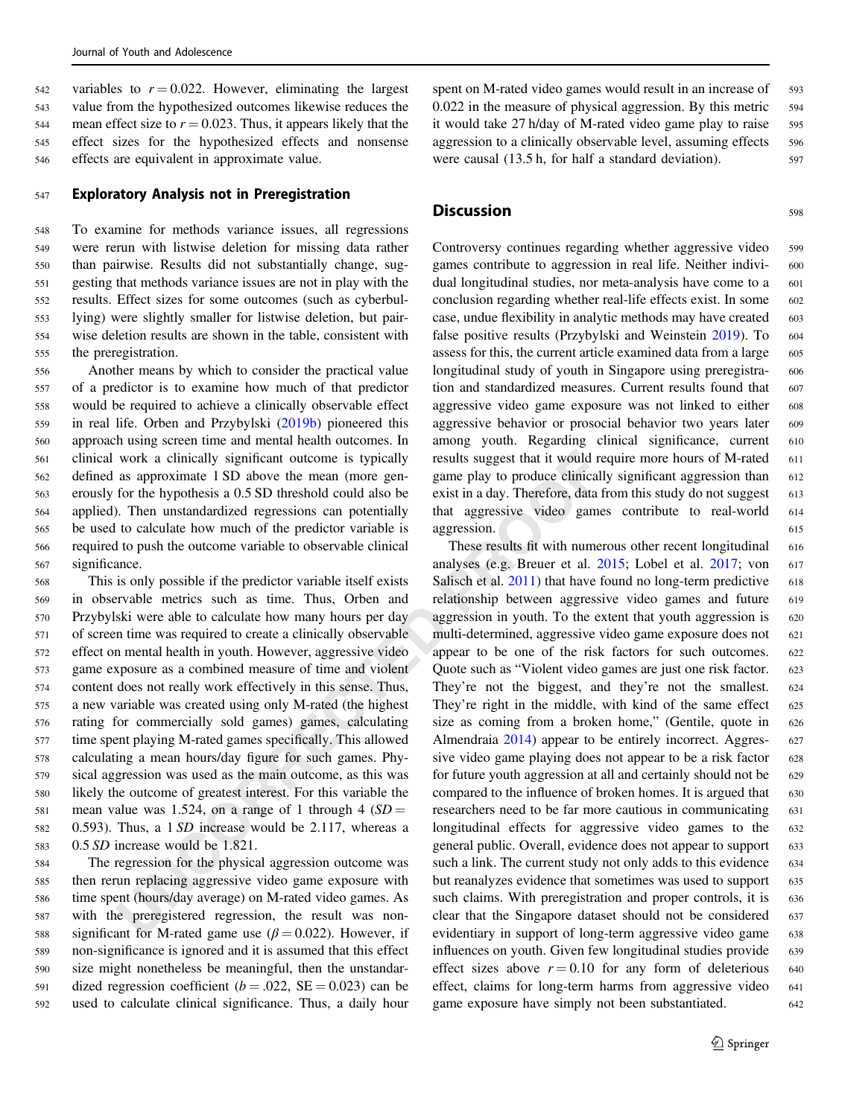542 variables to  $r = 0.022$ . However, eliminating the largest <sup>543</sup> value from the hypothesized outcomes likewise reduces the 544 mean effect size to  $r = 0.023$ . Thus, it appears likely that the <sup>545</sup> effect sizes for the hypothesized effects and nonsense <sup>546</sup> effects are equivalent in approximate value.

## <sup>547</sup> Exploratory Analysis not in Preregistration

 To examine for methods variance issues, all regressions were rerun with listwise deletion for missing data rather than pairwise. Results did not substantially change, sug- gesting that methods variance issues are not in play with the results. Effect sizes for some outcomes (such as cyberbul- lying) were slightly smaller for listwise deletion, but pair- wise deletion results are shown in the table, consistent with the preregistration.

 Another means by which to consider the practical value of a predictor is to examine how much of that predictor would be required to achieve a clinically observable effect in real life. Orben and Przybylski [\(2019b](#page-11-0)) pioneered this approach using screen time and mental health outcomes. In clinical work a clinically significant outcome is typically defined as approximate 1 SD above the mean (more gen- erously for the hypothesis a 0.5 SD threshold could also be applied). Then unstandardized regressions can potentially be used to calculate how much of the predictor variable is required to push the outcome variable to observable clinical significance.

work a clinically significant outcome is typically results suggest that it would ra<br>
as approximate 1SD above the mean (more gen-<br>
game play to produce elimical<br>
Or for the hypothesis a 0.5 SD threshold could also be exist This is only possible if the predictor variable itself exists in observable metrics such as time. Thus, Orben and Przybylski were able to calculate how many hours per day of screen time was required to create a clinically observable effect on mental health in youth. However, aggressive video game exposure as a combined measure of time and violent content does not really work effectively in this sense. Thus, a new variable was created using only M-rated (the highest rating for commercially sold games) games, calculating time spent playing M-rated games specifically. This allowed calculating a mean hours/day figure for such games. Phy- sical aggression was used as the main outcome, as this was likely the outcome of greatest interest. For this variable the 581 mean value was 1.524, on a range of 1 through 4 ( $SD =$  0.593). Thus, a 1 SD increase would be 2.117, whereas a 0.5 SD increase would be 1.821.

 The regression for the physical aggression outcome was then rerun replacing aggressive video game exposure with time spent (hours/day average) on M-rated video games. As with the preregistered regression, the result was non-588 significant for M-rated game use ( $\beta$  = 0.022). However, if non-significance is ignored and it is assumed that this effect size might nonetheless be meaningful, then the unstandar-591 dized regression coefficient ( $b = .022$ , SE = 0.023) can be used to calculate clinical significance. Thus, a daily hour spent on M-rated video games would result in an increase of 593 0.022 in the measure of physical aggression. By this metric 594 it would take 27 h/day of M-rated video game play to raise 595 aggression to a clinically observable level, assuming effects 596 were causal (13.5 h, for half a standard deviation). 597

## **Discussion** 598

Controversy continues regarding whether aggressive video 599 games contribute to aggression in real life. Neither indivi- 600 dual longitudinal studies, nor meta-analysis have come to a 601 conclusion regarding whether real-life effects exist. In some 602 case, undue flexibility in analytic methods may have created 603 false positive results (Przybylski and Weinstein [2019\)](#page-12-0). To 604 assess for this, the current article examined data from a large 605 longitudinal study of youth in Singapore using preregistra- 606 tion and standardized measures. Current results found that 607 aggressive video game exposure was not linked to either 608 aggressive behavior or prosocial behavior two years later 609 among youth. Regarding clinical significance, current <sup>610</sup> results suggest that it would require more hours of M-rated 611 game play to produce clinically significant aggression than 612 exist in a day. Therefore, data from this study do not suggest 613 that aggressive video games contribute to real-world <sup>614</sup> aggression. 615

These results fit with numerous other recent longitudinal 616 analyses (e.g. Breuer et al.  $2015$ ; Lobel et al.  $2017$ ; von 617 Salisch et al.  $2011$ ) that have found no long-term predictive 618 relationship between aggressive video games and future 619 aggression in youth. To the extent that youth aggression is 620 multi-determined, aggressive video game exposure does not 621 appear to be one of the risk factors for such outcomes. <sup>622</sup> Quote such as "Violent video games are just one risk factor. 623 They're not the biggest, and they're not the smallest. <sup>624</sup> They're right in the middle, with kind of the same effect 625 size as coming from a broken home," (Gentile, quote in 626 Almendraia 2014) appear to be entirely incorrect. Aggres- 627 sive video game playing does not appear to be a risk factor 628 for future youth aggression at all and certainly should not be  $629$ compared to the influence of broken homes. It is argued that 630 researchers need to be far more cautious in communicating 631 longitudinal effects for aggressive video games to the 632 general public. Overall, evidence does not appear to support 633 such a link. The current study not only adds to this evidence 634 but reanalyzes evidence that sometimes was used to support 635 such claims. With preregistration and proper controls, it is 636 clear that the Singapore dataset should not be considered 637 evidentiary in support of long-term aggressive video game 638 influences on youth. Given few longitudinal studies provide 639 effect sizes above  $r = 0.10$  for any form of deleterious 640 effect, claims for long-term harms from aggressive video 641 game exposure have simply not been substantiated. 642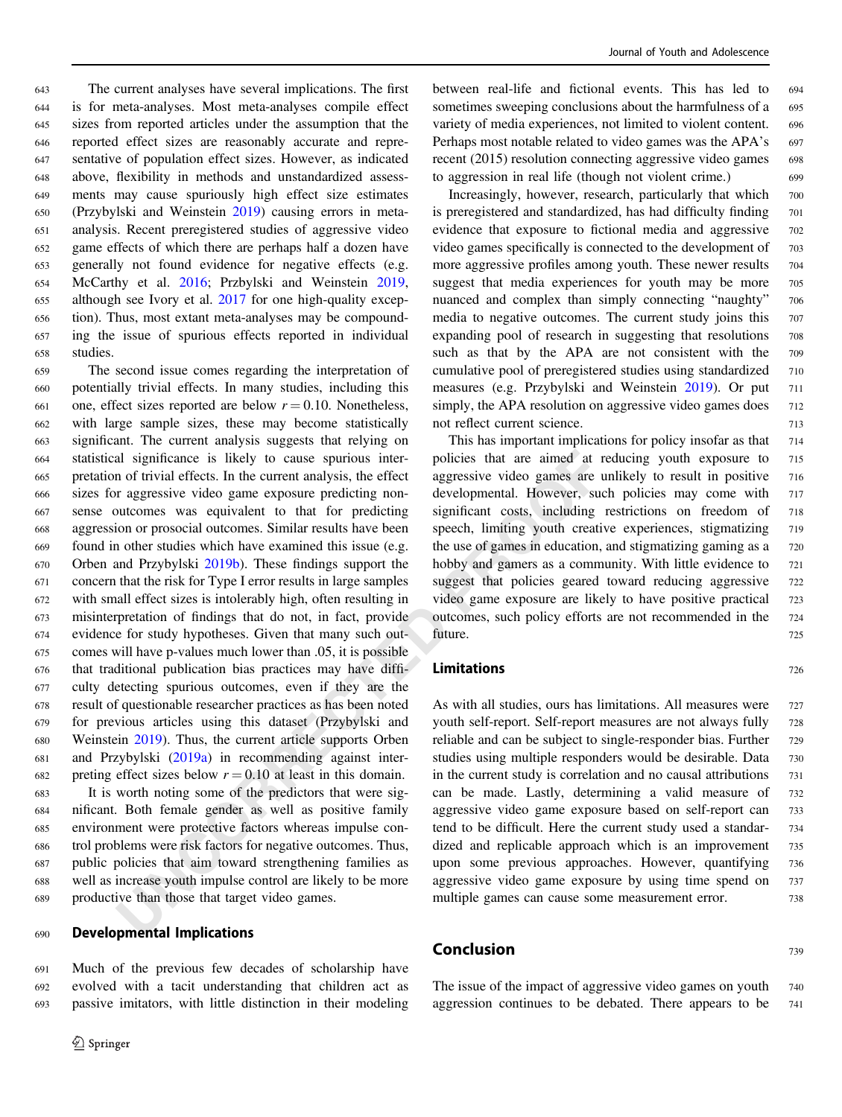The current analyses have several implications. The first is for meta-analyses. Most meta-analyses compile effect sizes from reported articles under the assumption that the reported effect sizes are reasonably accurate and repre- sentative of population effect sizes. However, as indicated above, flexibility in methods and unstandardized assess- ments may cause spuriously high effect size estimates (Przybylski and Weinstein [2019\)](#page-12-0) causing errors in meta- analysis. Recent preregistered studies of aggressive video game effects of which there are perhaps half a dozen have generally not found evidence for negative effects (e.g. McCarthy et al. [2016;](#page-11-0) Przbylski and Weinstein [2019,](#page-12-0) although see Ivory et al. [2017](#page-11-0) for one high-quality excep- tion). Thus, most extant meta-analyses may be compound- ing the issue of spurious effects reported in individual <sup>658</sup> studies.

al significance is likely to cause spurious inter-<br>policies that are aimed at r<br>of trivial effects. In the current analysis, the effect<br>*Uncertaines* are a moreous reading non-<br>or arguessive video games are any positive The second issue comes regarding the interpretation of potentially trivial effects. In many studies, including this 661 one, effect sizes reported are below  $r = 0.10$ . Nonetheless, with large sample sizes, these may become statistically significant. The current analysis suggests that relying on statistical significance is likely to cause spurious inter- pretation of trivial effects. In the current analysis, the effect sizes for aggressive video game exposure predicting non- sense outcomes was equivalent to that for predicting aggression or prosocial outcomes. Similar results have been found in other studies which have examined this issue (e.g. Orben and Przybylski 2019b). These findings support the concern that the risk for Type I error results in large samples with small effect sizes is intolerably high, often resulting in misinterpretation of findings that do not, in fact, provide evidence for study hypotheses. Given that many such out- comes will have p-values much lower than .05, it is possible that traditional publication bias practices may have diffi- culty detecting spurious outcomes, even if they are the result of questionable researcher practices as has been noted for previous articles using this dataset (Przybylski and Weinstein 2019). Thus, the current article supports Orben and Przybylski (2019a) in recommending against inter-682 preting effect sizes below  $r = 0.10$  at least in this domain.

 It is worth noting some of the predictors that were sig- nificant. Both female gender as well as positive family environment were protective factors whereas impulse con- trol problems were risk factors for negative outcomes. Thus, public policies that aim toward strengthening families as well as increase youth impulse control are likely to be more productive than those that target video games.

## <sup>690</sup> Developmental Implications

<sup>691</sup> Much of the previous few decades of scholarship have <sup>692</sup> evolved with a tacit understanding that children act as <sup>693</sup> passive imitators, with little distinction in their modeling between real-life and fictional events. This has led to 694 sometimes sweeping conclusions about the harmfulness of a 695 variety of media experiences, not limited to violent content. <sup>696</sup> Perhaps most notable related to video games was the APA's 697 recent (2015) resolution connecting aggressive video games 698 to aggression in real life (though not violent crime.) <sup>699</sup>

Increasingly, however, research, particularly that which <sup>700</sup> is preregistered and standardized, has had difficulty finding 701 evidence that exposure to fictional media and aggressive 702 video games specifically is connected to the development of 703 more aggressive profiles among youth. These newer results 704 suggest that media experiences for youth may be more 705 nuanced and complex than simply connecting "naughty" 706 media to negative outcomes. The current study joins this 707 expanding pool of research in suggesting that resolutions 708 such as that by the APA are not consistent with the 709 cumulative pool of preregistered studies using standardized 710 measures (e.g. Przybylski and Weinstein [2019\)](#page-12-0). Or put 711 simply, the APA resolution on aggressive video games does 712 not reflect current science. 713

This has important implications for policy insofar as that 714 policies that are aimed at reducing youth exposure to <sup>715</sup> aggressive video games are unlikely to result in positive <sup>716</sup> developmental. However, such policies may come with 717 significant costs, including restrictions on freedom of 718 speech, limiting youth creative experiences, stigmatizing 719 the use of games in education, and stigmatizing gaming as a 720 hobby and gamers as a community. With little evidence to 721 suggest that policies geared toward reducing aggressive 722 video game exposure are likely to have positive practical 723 outcomes, such policy efforts are not recommended in the <sup>724</sup> future. The contract of the contract of the contract of the contract of the contract of the contract of the contract of the contract of the contract of the contract of the contract of the contract of the contract of the co

## **Limitations** 726

As with all studies, ours has limitations. All measures were 727 youth self-report. Self-report measures are not always fully <sup>728</sup> reliable and can be subject to single-responder bias. Further 729 studies using multiple responders would be desirable. Data <sup>730</sup> in the current study is correlation and no causal attributions 731 can be made. Lastly, determining a valid measure of <sup>732</sup> aggressive video game exposure based on self-report can <sup>733</sup> tend to be difficult. Here the current study used a standar- <sup>734</sup> dized and replicable approach which is an improvement 735 upon some previous approaches. However, quantifying <sup>736</sup> aggressive video game exposure by using time spend on <sup>737</sup> multiple games can cause some measurement error.  $\frac{738}{2}$ 

## **Conclusion** 739

The issue of the impact of aggressive video games on youth 740 aggression continues to be debated. There appears to be <sup>741</sup>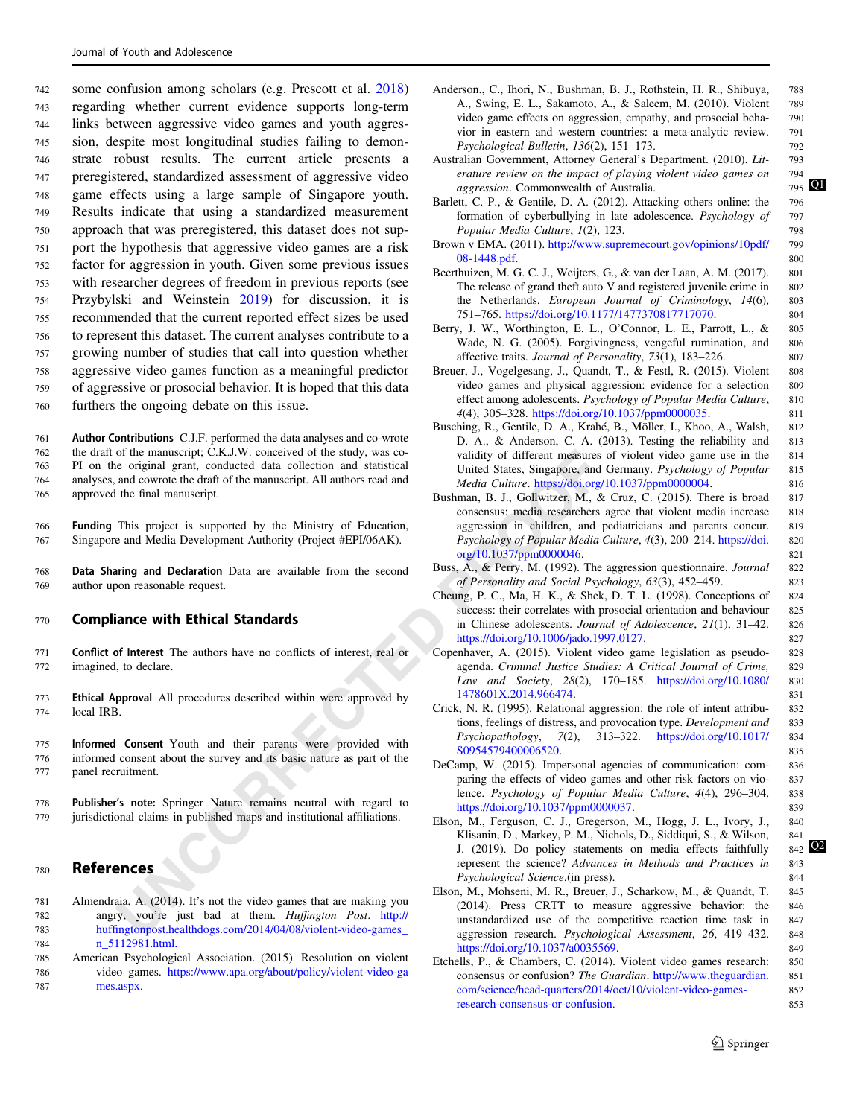<span id="page-10-0"></span> some confusion among scholars (e.g. Prescott et al. [2018\)](#page-11-0) regarding whether current evidence supports long-term links between aggressive video games and youth aggres- sion, despite most longitudinal studies failing to demon- strate robust results. The current article presents a preregistered, standardized assessment of aggressive video game effects using a large sample of Singapore youth. Results indicate that using a standardized measurement approach that was preregistered, this dataset does not sup- port the hypothesis that aggressive video games are a risk factor for aggression in youth. Given some previous issues with researcher degrees of freedom in previous reports (see Przybylski and Weinstein [2019\)](#page-12-0) for discussion, it is recommended that the current reported effect sizes be used to represent this dataset. The current analyses contribute to a growing number of studies that call into question whether aggressive video games function as a meaningful predictor of aggressive or prosocial behavior. It is hoped that this data furthers the ongoing debate on this issue.

or the manuscript; CKJ, V. Conceived of the study, was considering the ending and convented attact of the manuscript. All authors read and the final manuscript and a more original grant, conducted tata collate original sta Author Contributions C.J.F. performed the data analyses and co-wrote the draft of the manuscript; C.K.J.W. conceived of the study, was co- PI on the original grant, conducted data collection and statistical analyses, and cowrote the draft of the manuscript. All authors read and approved the final manuscript.

766 Funding This project is supported by the Ministry of Education, 767 Singapore and Media Development Authority (Project #EPI/06AK).

768 Data Sharing and Declaration Data are available from the second 769 author upon reasonable request.

#### <sup>770</sup> Compliance with Ethical Standards

- <sup>771</sup> Conflict of Interest The authors have no conflicts of interest, real or 772 imagined, to declare.
- 773 Ethical Approval All procedures described within were approved by 774 local IRB.
- 775 Informed Consent Youth and their parents were provided with 776 informed consent about the survey and its basic nature as part of the 777 panel recruitment.
- 778 Publisher's note: Springer Nature remains neutral with regard to <sup>779</sup> jurisdictional claims in published maps and institutional affiliations.

## <sup>780</sup> References

- 781 Almendraia, A. (2014). It's not the video games that are making you 782 angry, you're just bad at them. Huffington Post. http:// <sup>783</sup> huffingtonpost.healthdogs.com/2014/04/08/violent-video-games\_ 784 [n\\_5112981.html.](http://huffingtonpost.healthdogs.com/2014/04/08/violent-video-games_n_5112981.html)
- 785 American Psychological Association. (2015). Resolution on violent 786 video games. [https://www.apa.org/about/policy/violent-video-ga](https://www.apa.org/about/policy/violent-video-games.aspx) 787 [mes.aspx.](https://www.apa.org/about/policy/violent-video-games.aspx)
- Anderson., C., Ihori, N., Bushman, B. J., Rothstein, H. R., Shibuya, 788 A., Swing, E. L., Sakamoto, A., & Saleem, M. (2010). Violent 789 video game effects on aggression, empathy, and prosocial beha- 790 vior in eastern and western countries: a meta-analytic review. 791 Psychological Bulletin, 136(2), 151–173. 792
- Australian Government, Attorney General's Department. (2010). Lit- 793 erature review on the impact of playing violent video games on  $\frac{794}{795}$  Q aggression. Commonwealth of Australia.
- Barlett, C. P., & Gentile, D. A. (2012). Attacking others online: the 796 formation of cyberbullying in late adolescence. Psychology of 797 Popular Media Culture, 1(2), 123.
- Brown v EMA. (2011). [http://www.supremecourt.gov/opinions/10pdf/](http://www.supremecourt.gov/opinions/10pdf/08-1448.pdf) 799 [08-1448.pdf.](http://www.supremecourt.gov/opinions/10pdf/08-1448.pdf) 800
- Beerthuizen, M. G. C. J., Weijters, G., & van der Laan, A. M. (2017). 801 The release of grand theft auto V and registered juvenile crime in 802 the Netherlands. European Journal of Criminology, 14(6), 803 751–765. [https://doi.org/10.1177/1477370817717070.](https://doi.org/10.1177/1477370817717070) 804
- Berry, J. W., Worthington, E. L., O'Connor, L. E., Parrott, L., & 805 Wade, N. G. (2005). Forgivingness, vengeful rumination, and 806 affective traits. Journal of Personality, 73(1), 183-226. 807
- Breuer, J., Vogelgesang, J., Quandt, T., & Festl, R. (2015). Violent 808 video games and physical aggression: evidence for a selection 809 effect among adolescents. Psychology of Popular Media Culture, 810 4(4), 305–328. [https://doi.org/10.1037/ppm0000035.](https://doi.org/10.1037/ppm0000035) 811
- Busching, R., Gentile, D. A., Krahé, B., Möller, I., Khoo, A., Walsh, 812 D. A., & Anderson, C. A. (2013). Testing the reliability and 813 validity of different measures of violent video game use in the 814 United States, Singapore, and Germany. Psychology of Popular 815 Media Culture. <https://doi.org/10.1037/ppm0000004>. 816
- Bushman, B. J., Gollwitzer, M., & Cruz, C. (2015). There is broad 817 consensus: media researchers agree that violent media increase 818 aggression in children, and pediatricians and parents concur. 819 Psychology of Popular Media Culture, 4(3), 200–214. [https://doi.](https://doi.org/10.1037/ppm0000046) 820 org/10.1037/ppm0000046. 821
- Buss, A., & Perry, M. (1992). The aggression questionnaire. Journal 822 of Personality and Social Psychology, 63(3), 452–459. 823
- Cheung, P. C., Ma, H. K., & Shek, D. T. L. (1998). Conceptions of 824 success: their correlates with prosocial orientation and behaviour 825 in Chinese adolescents. Journal of Adolescence, 21(1), 31–42. 826 <https://doi.org/10.1006/jado.1997.0127>. 827
- Copenhaver, A. (2015). Violent video game legislation as pseudo- 828 agenda. Criminal Justice Studies: A Critical Journal of Crime, 829 Law and Society, 28(2), 170–185. [https://doi.org/10.1080/](https://doi.org/10.1080/1478601X.2014.966474) 830 1478601X.2014.966474. 831
- Crick, N. R. (1995). Relational aggression: the role of intent attribu- 832 tions, feelings of distress, and provocation type. Development and 833 Psychopathology, 7(2), 313–322. [https://doi.org/10.1017/](https://doi.org/10.1017/S0954579400006520) 834 S0954579400006520. 835
- DeCamp, W. (2015). Impersonal agencies of communication: com- 836 paring the effects of video games and other risk factors on vio- 837 lence. Psychology of Popular Media Culture, 4(4), 296–304. 838 <https://doi.org/10.1037/ppm0000037>. 839
- Elson, M., Ferguson, C. J., Gregerson, M., Hogg, J. L., Ivory, J., 840 Klisanin, D., Markey, P. M., Nichols, D., Siddiqui, S., & Wilson, 841 J. (2019). Do policy statements on media effects faithfully 842 represent the science? Advances in Methods and Practices in 843 Psychological Science.(in press). 844
- Elson, M., Mohseni, M. R., Breuer, J., Scharkow, M., & Quandt, T. 845 (2014). Press CRTT to measure aggressive behavior: the 846 unstandardized use of the competitive reaction time task in 847 aggression research. Psychological Assessment, 26, 419–432. 848 [https://doi.org/10.1037/a0035569.](https://doi.org/10.1037/a0035569) 849
- Etchells, P., & Chambers, C. (2014). Violent video games research: 850 consensus or confusion? The Guardian. [http://www.theguardian.](http://www.theguardian.com/science/head-quarters/2014/oct/10/violent-video-games-research-consensus-or-confusion) 851 [com/science/head-quarters/2014/oct/10/violent-video-games-](http://www.theguardian.com/science/head-quarters/2014/oct/10/violent-video-games-research-consensus-or-confusion) 852 [research-consensus-or-confusion.](http://www.theguardian.com/science/head-quarters/2014/oct/10/violent-video-games-research-consensus-or-confusion) 853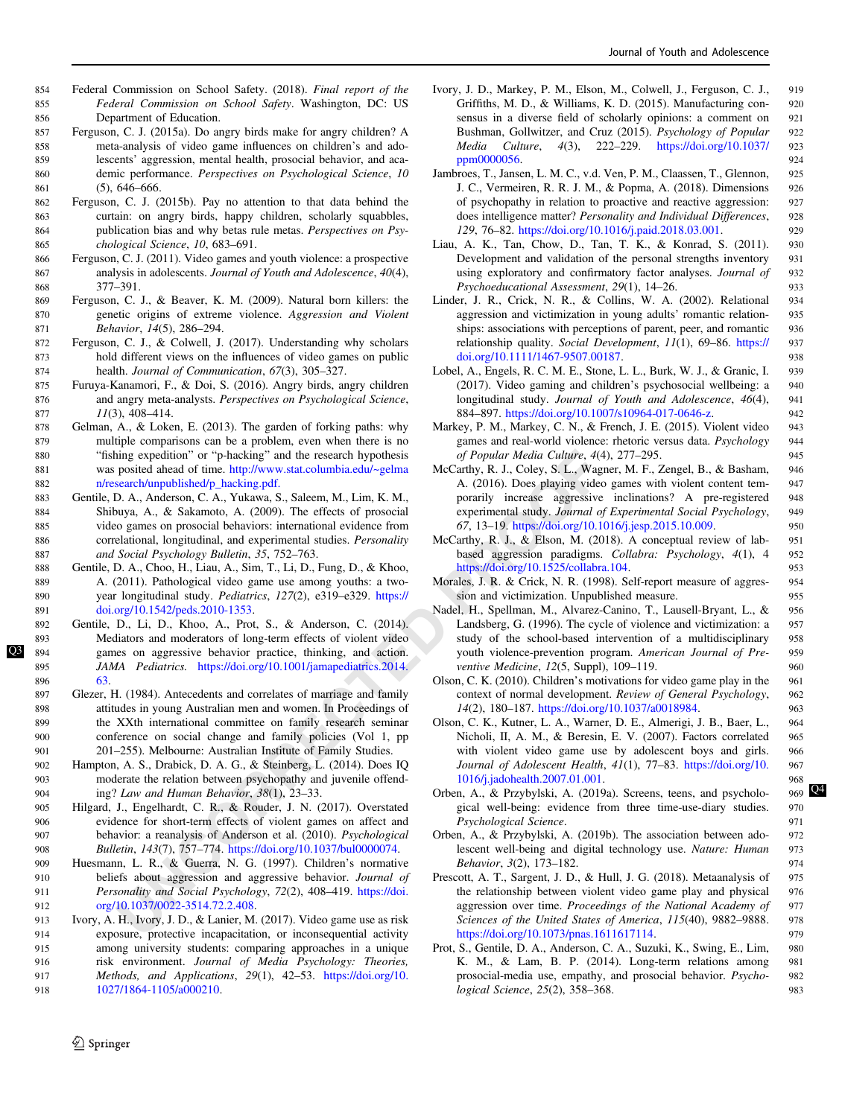- <span id="page-11-0"></span>854 Federal Commission on School Safety. (2018). Final report of the 855 Federal Commission on School Safety. Washington, DC: US 856 Department of Education.
- 857 Ferguson, C. J. (2015a). Do angry birds make for angry children? A <sup>858</sup> meta-analysis of video game influences on children's and ado-859 lescents' aggression, mental health, prosocial behavior, and aca-860 demic performance. Perspectives on Psychological Science, 10 861 (5), 646–666.
- 862 Ferguson, C. J. (2015b). Pay no attention to that data behind the 863 curtain: on angry birds, happy children, scholarly squabbles, 864 publication bias and why betas rule metas. Perspectives on Psy-865 chological Science, 10, 683–691.
- 866 Ferguson, C. J. (2011). Video games and youth violence: a prospective 867 analysis in adolescents. Journal of Youth and Adolescence, 40(4), 868 377–391.
- 869 Ferguson, C. J., & Beaver, K. M. (2009). Natural born killers: the 870 genetic origins of extreme violence. Aggression and Violent 871 Behavior, 14(5), 286-294.
- 872 Ferguson, C. J., & Colwell, J. (2017). Understanding why scholars <sup>873</sup> hold different views on the influences of video games on public 874 health. Journal of Communication, 67(3), 305–327.
- 875 Furuya-Kanamori, F., & Doi, S. (2016). Angry birds, angry children 876 and angry meta-analysts. Perspectives on Psychological Science,  $11(3), 408-414.$
- 878 Gelman, A., & Loken, E. (2013). The garden of forking paths: why 879 multiple comparisons can be a problem, even when there is no <sup>880</sup> "fishing expedition" or "p-hacking" and the research hypothesis 881 was posited ahead of time. http://www.stat.columbia.edu/~gelma 882 [n/research/unpublished/p\\_hacking.pdf.](http://www.stat.columbia.edu/~gelman/research/unpublished/p_hacking.pdf)
- 883 Gentile, D. A., Anderson, C. A., Yukawa, S., Saleem, M., Lim, K. M., 884 Shibuya, A., & Sakamoto, A. (2009). The effects of prosocial 885 video games on prosocial behaviors: international evidence from 886 correlational, longitudinal, and experimental studies. Personality 887 and Social Psychology Bulletin, 35, 752–763.
- 888 Gentile, D. A., Choo, H., Liau, A., Sim, T., Li, D., Fung, D., & Khoo, 889 A. (2011). Pathological video game use among youths: a two-890 year longitudinal study. Pediatrics, 127(2), e319–e329. https:// 891 [doi.org/10.1542/peds.2010-1353](https://doi.org/10.1542/peds.2010-1353).
- ing expedition Tor "p-hacking" and the research hypothesis<br>
posited ahead [O](https://doi.org/10.1037/bul0000074)r time. http://www.stat.columbine.du/~gelma McCarthy, R. J. Coley, S. L., Wag<br>
posited ahead Or time. Http://www.stat.columbine.du/~gelma McCarthy, 892 Gentile, D., Li, D., Khoo, A., Prot, S., & Anderson, C. (2014). 893 Mediators and moderators of long-term effects of violent video [Q3](#page-13-0) 894 games on aggressive behavior practice, thinking, and action. 895 JAMA Pediatrics. https://doi.org/10.1001/jamapediatrics.2014. 896 [63](https://doi.org/10.1001/jamapediatrics.2014.63).
	- 897 Glezer, H. (1984). Antecedents and correlates of marriage and family 898 attitudes in young Australian men and women. In Proceedings of 899 the XXth international committee on family research seminar 900 conference on social change and family policies (Vol 1, pp 901 201–255). Melbourne: Australian Institute of Family Studies.
	- 902 Hampton, A. S., Drabick, D. A. G., & Steinberg, L. (2014). Does IQ 903 moderate the relation between psychopathy and juvenile offend-904 ing? Law and Human Behavior, 38(1), 23–33.
	- 905 Hilgard, J., Engelhardt, C. R., & Rouder, J. N. (2017). Overstated 906 evidence for short-term effects of violent games on affect and 907 behavior: a reanalysis of Anderson et al. (2010). Psychological 908 Bulletin, 143(7), 757–774. https://doi.org/10.1037/bul0000074.
	- 909 Huesmann, L. R., & Guerra, N. G. (1997). Children's normative 910 beliefs about aggression and aggressive behavior. Journal of 911 Personality and Social Psychology, 72(2), 408-419. https://doi. 912 [org/10.1037/0022-3514.72.2.408.](https://doi.org/10.1037/0022-3514.72.2.408)
	- 913 Ivory, A. H., Ivory, J. D., & Lanier, M. (2017). Video game use as risk 914 exposure, protective incapacitation, or inconsequential activity 915 among university students: comparing approaches in a unique 916 risk environment. Journal of Media Psychology: Theories, 917 Methods, and Applications, 29(1), 42–53. [https://doi.org/10.](https://doi.org/10.1027/1864-1105/a000210) 918 [1027/1864-1105/a000210](https://doi.org/10.1027/1864-1105/a000210).
- Ivory, J. D., Markey, P. M., Elson, M., Colwell, J., Ferguson, C. J., 919 Griffiths, M. D., & Williams, K. D. (2015). Manufacturing con- <sup>920</sup> sensus in a diverse field of scholarly opinions: a comment on 921 Bushman, Gollwitzer, and Cruz (2015). Psychology of Popular 922 Media Culture, 4(3), 222–229. [https://doi.org/10.1037/](https://doi.org/10.1037/ppm0000056) 923 [ppm0000056.](https://doi.org/10.1037/ppm0000056) 924
- Jambroes, T., Jansen, L. M. C., v.d. Ven, P. M., Claassen, T., Glennon, 925 J. C., Vermeiren, R. R. J. M., & Popma, A. (2018). Dimensions 926 of psychopathy in relation to proactive and reactive aggression: 927 does intelligence matter? Personality and Individual Differences, 928 129, 76–82. [https://doi.org/10.1016/j.paid.2018.03.001.](https://doi.org/10.1016/j.paid.2018.03.001) 929
- Liau, A. K., Tan, Chow, D., Tan, T. K., & Konrad, S. (2011). 930 Development and validation of the personal strengths inventory 931 using exploratory and confirmatory factor analyses. Journal of 932 Psychoeducational Assessment, 29(1), 14–26. 933
- Linder, J. R., Crick, N. R., & Collins, W. A. (2002). Relational 934 aggression and victimization in young adults' romantic relation- 935 ships: associations with perceptions of parent, peer, and romantic 936 relationship quality. Social Development, 11(1), 69–86. [https://](https://doi.org/10.1111/1467-9507.00187) 937 [doi.org/10.1111/1467-9507.00187](https://doi.org/10.1111/1467-9507.00187).
- Lobel, A., Engels, R. C. M. E., Stone, L. L., Burk, W. J., & Granic, I. 939 (2017). Video gaming and children's psychosocial wellbeing: a 940 longitudinal study. Journal of Youth and Adolescence, 46(4), 941 884–897. <https://doi.org/10.1007/s10964-017-0646-z>. 942
- Markey, P. M., Markey, C. N., & French, J. E. (2015). Violent video 943 games and real-world violence: rhetoric versus data. Psychology 944 of Popular Media Culture, 4(4), 277–295. 945
- McCarthy, R. J., Coley, S. L., Wagner, M. F., Zengel, B., & Basham, 946 A. (2016). Does playing video games with violent content tem- 947 porarily increase aggressive inclinations? A pre-registered 948 experimental study. Journal of Experimental Social Psychology, 949 67, 13–19. <https://doi.org/10.1016/j.jesp.2015.10.009>. 950
- McCarthy, R. J., & Elson, M. (2018). A conceptual review of lab- 951 based aggression paradigms. Collabra: Psychology, 4(1), 4 952 <https://doi.org/10.1525/collabra.104>. 953
- Morales, J. R. & Crick, N. R. (1998). Self-report measure of aggres- 954 sion and victimization. Unpublished measure. 955
- Nadel, H., Spellman, M., Alvarez-Canino, T., Lausell-Bryant, L., & 956 Landsberg, G. (1996). The cycle of violence and victimization: a 957 study of the school-based intervention of a multidisciplinary 958 youth violence-prevention program. American Journal of Pre- 959 ventive Medicine, 12(5, Suppl), 109–119. 960
- Olson, C. K. (2010). Children's motivations for video game play in the 961 context of normal development. Review of General Psychology, 962 14(2), 180–187. [https://doi.org/10.1037/a0018984.](https://doi.org/10.1037/a0018984) 963
- Olson, C. K., Kutner, L. A., Warner, D. E., Almerigi, J. B., Baer, L., 964 Nicholi, II, A. M., & Beresin, E. V. (2007). Factors correlated 965 with violent video game use by adolescent boys and girls. 966 Journal of Adolescent Health, 41(1), 77-83. [https://doi.org/10.](https://doi.org/10.1016/j.jadohealth.2007.01.001) 967 1016/j.jadohealth.2007.01.001. 968
- Orben, A.,  $\&$  Przybylski, A. (2019a). Screens, teens, and psycholo- 969  $\mathbb{Q}^4$ gical well-being: evidence from three time-use-diary studies. 970 Psychological Science. 971
- Orben, A., & Przybylski, A. (2019b). The association between ado- 972 lescent well-being and digital technology use. Nature: Human 973 Behavior, 3(2), 173–182. 974
- Prescott, A. T., Sargent, J. D., & Hull, J. G. (2018). Metaanalysis of 975 the relationship between violent video game play and physical 976 aggression over time. Proceedings of the National Academy of 977 Sciences of the United States of America, 115(40), 9882-9888. 978 <https://doi.org/10.1073/pnas.1611617114>. 979
- Prot, S., Gentile, D. A., Anderson, C. A., Suzuki, K., Swing, E., Lim, 980 K. M., & Lam, B. P. (2014). Long-term relations among 981 prosocial-media use, empathy, and prosocial behavior. Psycho- 982 logical Science, 25(2), 358–368. 983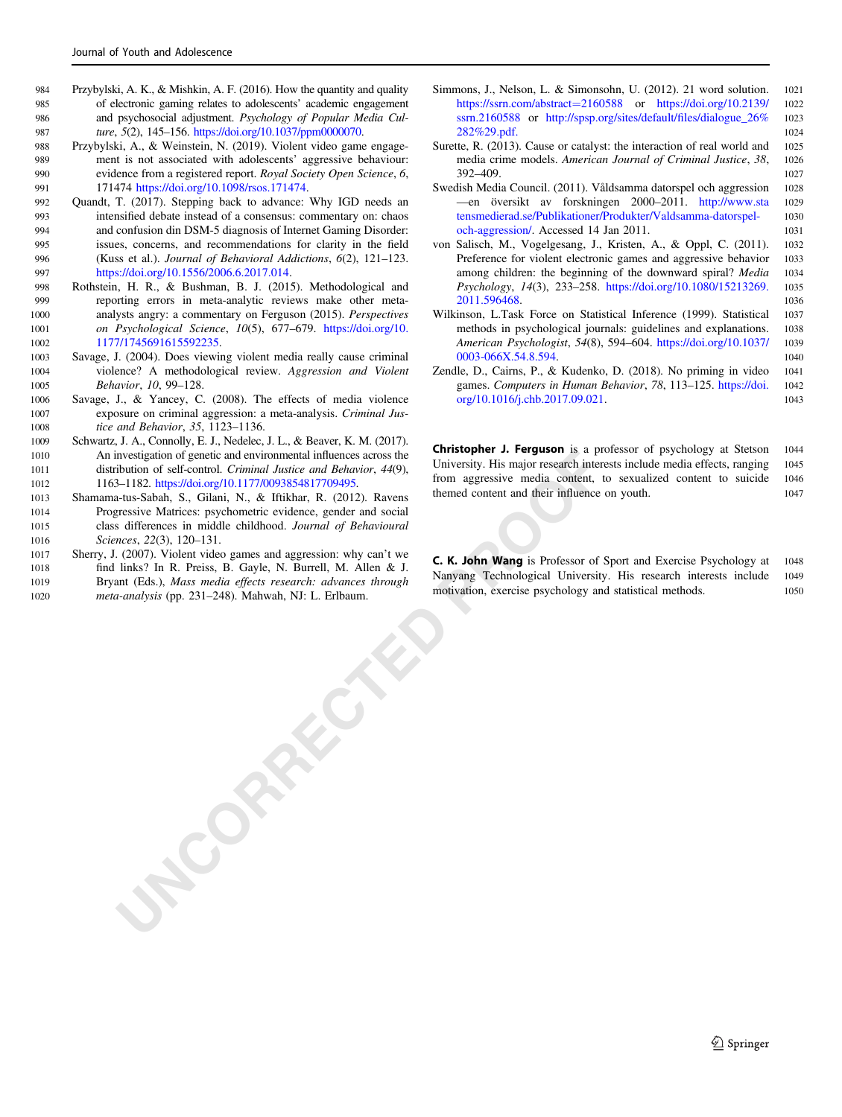- <span id="page-12-0"></span>984 Przybylski, A. K., & Mishkin, A. F. (2016). How the quantity and quality 985 of electronic gaming relates to adolescents' academic engagement 986 and psychosocial adjustment. Psychology of Popular Media Cul-987 ture, 5(2), 145–156. [https://doi.org/10.1037/ppm0000070.](https://doi.org/10.1037/ppm0000070)
- 988 Przybylski, A., & Weinstein, N. (2019). Violent video game engage-989 ment is not associated with adolescents' aggressive behaviour: 990 evidence from a registered report. Royal Society Open Science, 6, 991 171474 [https://doi.org/10.1098/rsos.171474.](https://doi.org/10.1098/rsos.171474)
- 992 Quandt, T. (2017). Stepping back to advance: Why IGD needs an <sup>993</sup> intensified debate instead of a consensus: commentary on: chaos 994 and confusion din DSM-5 diagnosis of Internet Gaming Disorder: <sup>995</sup> issues, concerns, and recommendations for clarity in the field 996 (Kuss et al.). Journal of Behavioral Addictions, 6(2), 121–123. 997 [https://doi.org/10.1556/2006.6.2017.014.](https://doi.org/10.1556/2006.6.2017.014)
- 998 Rothstein, H. R., & Bushman, B. J. (2015). Methodological and 999 reporting errors in meta-analytic reviews make other meta-1000 analysts angry: a commentary on Ferguson (2015). Perspectives 1001 on Psychological Science, 10(5), 677–679. [https://doi.org/10.](https://doi.org/10.1177/1745691615592235) 1002 [1177/1745691615592235.](https://doi.org/10.1177/1745691615592235)
- 1003 Savage, J. (2004). Does viewing violent media really cause criminal 1004 violence? A methodological review. Aggression and Violent 1005 Behavior, 10, 99–128.
- 1006 Savage, J., & Yancey, C. (2008). The effects of media violence 1007 exposure on criminal aggression: a meta-analysis. Criminal Jus-1008 *tice and Behavior*, 35, 1123–1136.
- 1009 Schwartz, J. A., Connolly, E. J., Nedelec, J. L., & Beaver, K. M. (2017). <sup>1010</sup> An investigation of genetic and environmental influences across the 1011 distribution of self-control. Criminal Justice and Behavior, 44(9), 1012 1163–1182. https://doi.org/10.1177/0093854817709495.
- 1013 Shamama-tus-Sabah, S., Gilani, N., & Iftikhar, R. (2012). Ravens 1014 Progressive Matrices: psychometric evidence, gender and social 1015 class differences in middle childhood. Journal of Behavioural 1016 Sciences, 22(3), 120-131.
- **UNCORRECTED** 1017 Sherry, J. (2007). Violent video games and aggression: why can't we <sup>1018</sup> find links? In R. Preiss, B. Gayle, N. Burrell, M. Allen & J. 1019 Bryant (Eds.), Mass media effects research: advances through 1020 meta-analysis (pp. 231–248). Mahwah, NJ: L. Erlbaum.
- Simmons, J., Nelson, L. & Simonsohn, U. (2012). 21 word solution. 1021 [https://ssrn.com/abstract](https://ssrn.com/abstract=2160588)=2160588 or [https://doi.org/10.2139/](https://doi.org/10.2139/ssrn.2160588) 1022 [ssrn.2160588](https://doi.org/10.2139/ssrn.2160588) or [http://spsp.org/sites/default/](http://spsp.org/sites/default/files/dialogue_26%282%29.pdf)files/dialogue\_26% <sup>1023</sup> [282%29.pdf.](http://spsp.org/sites/default/files/dialogue_26%282%29.pdf) 1024
- Surette, R. (2013). Cause or catalyst: the interaction of real world and 1025 media crime models. American Journal of Criminal Justice, 38, 1026 392–409. 1027
- Swedish Media Council. (2011). Våldsamma datorspel och aggression 1028 —en översikt av forskningen 2000–2011. [http://www.sta](http://www.statensmedierad.se/Publikationer/Produkter/Valdsamma-datorspel-och-aggression/) 1029 [tensmedierad.se/Publikationer/Produkter/Valdsamma-datorspel-](http://www.statensmedierad.se/Publikationer/Produkter/Valdsamma-datorspel-och-aggression/) 1030 [och-aggression/](http://www.statensmedierad.se/Publikationer/Produkter/Valdsamma-datorspel-och-aggression/). Accessed 14 Jan 2011. 1031
- von Salisch, M., Vogelgesang, J., Kristen, A., & Oppl, C. (2011). 1032 Preference for violent electronic games and aggressive behavior 1033 among children: the beginning of the downward spiral? Media 1034 Psychology, 14(3), 233–258. [https://doi.org/10.1080/15213269.](https://doi.org/10.1080/15213269.2011.596468) 1035 [2011.596468.](https://doi.org/10.1080/15213269.2011.596468) 1036
- Wilkinson, L.Task Force on Statistical Inference (1999). Statistical 1037 methods in psychological journals: guidelines and explanations. 1038 American Psychologist, 54(8), 594–604. [https://doi.org/10.1037/](https://doi.org/10.1037/0003-066X.54.8.594) 1039 [0003-066X.54.8.594](https://doi.org/10.1037/0003-066X.54.8.594). 1040
- Zendle, D., Cairns, P., & Kudenko, D. (2018). No priming in video 1041 games. Computers in Human Behavior, 78, 113-125. [https://doi.](https://doi.org/10.1016/j.chb.2017.09.021) 1042 [org/10.1016/j.chb.2017.09.021.](https://doi.org/10.1016/j.chb.2017.09.021) 1043

Christopher J. Ferguson is a professor of psychology at Stetson 1044 University. His major research interests include media effects, ranging 1045 from aggressive media content, to sexualized content to suicide 1046 themed content and their influence on youth. 1047

C. K. John Wang is Professor of Sport and Exercise Psychology at 1048 Nanyang Technological University. His research interests include 1049 motivation, exercise psychology and statistical methods. 1050

 $\mathcal{D}$  Springer